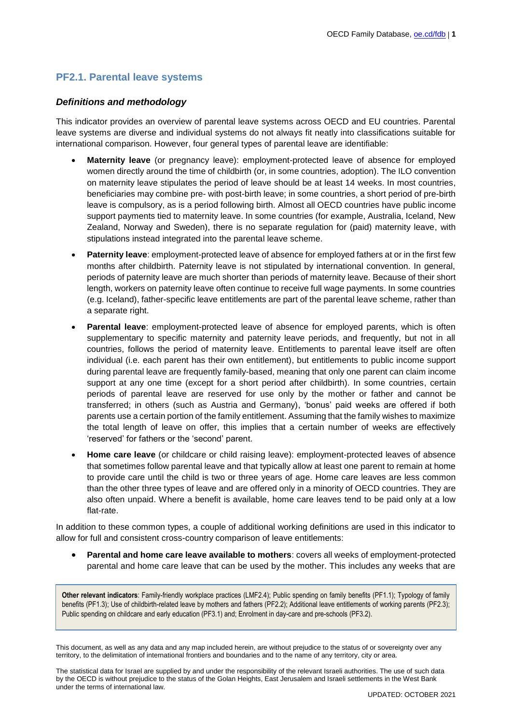### **PF2.1. Parental leave systems**

#### *Definitions and methodology*

This indicator provides an overview of parental leave systems across OECD and EU countries. Parental leave systems are diverse and individual systems do not always fit neatly into classifications suitable for international comparison. However, four general types of parental leave are identifiable:

- **Maternity leave** (or pregnancy leave): employment-protected leave of absence for employed women directly around the time of childbirth (or, in some countries, adoption). The ILO convention on maternity leave stipulates the period of leave should be at least 14 weeks. In most countries, beneficiaries may combine pre- with post-birth leave; in some countries, a short period of pre-birth leave is compulsory, as is a period following birth. Almost all OECD countries have public income support payments tied to maternity leave. In some countries (for example, Australia, Iceland, New Zealand, Norway and Sweden), there is no separate regulation for (paid) maternity leave, with stipulations instead integrated into the parental leave scheme.
- **Paternity leave**: employment-protected leave of absence for employed fathers at or in the first few months after childbirth. Paternity leave is not stipulated by international convention. In general, periods of paternity leave are much shorter than periods of maternity leave. Because of their short length, workers on paternity leave often continue to receive full wage payments. In some countries (e.g. Iceland), father-specific leave entitlements are part of the parental leave scheme, rather than a separate right.
- **Parental leave**: employment-protected leave of absence for employed parents, which is often supplementary to specific maternity and paternity leave periods, and frequently, but not in all countries, follows the period of maternity leave. Entitlements to parental leave itself are often individual (i.e. each parent has their own entitlement), but entitlements to public income support during parental leave are frequently family-based, meaning that only one parent can claim income support at any one time (except for a short period after childbirth). In some countries, certain periods of parental leave are reserved for use only by the mother or father and cannot be transferred; in others (such as Austria and Germany), 'bonus' paid weeks are offered if both parents use a certain portion of the family entitlement. Assuming that the family wishes to maximize the total length of leave on offer, this implies that a certain number of weeks are effectively 'reserved' for fathers or the 'second' parent.
- **Home care leave** (or childcare or child raising leave): employment-protected leaves of absence that sometimes follow parental leave and that typically allow at least one parent to remain at home to provide care until the child is two or three years of age. Home care leaves are less common than the other three types of leave and are offered only in a minority of OECD countries. They are also often unpaid. Where a benefit is available, home care leaves tend to be paid only at a low flat-rate.

In addition to these common types, a couple of additional working definitions are used in this indicator to allow for full and consistent cross-country comparison of leave entitlements:

 **Parental and home care leave available to mothers**: covers all weeks of employment-protected parental and home care leave that can be used by the mother. This includes any weeks that are

**Other relevant indicators**: Family-friendly workplace practices (LMF2.4); Public spending on family benefits (PF1.1); Typology of family benefits (PF1.3); Use of childbirth-related leave by mothers and fathers (PF2.2); Additional leave entitlements of working parents (PF2.3); Public spending on childcare and early education (PF3.1) and; Enrolment in day-care and pre-schools (PF3.2).

This document, as well as any data and any map included herein, are without prejudice to the status of or sovereignty over any territory, to the delimitation of international frontiers and boundaries and to the name of any territory, city or area.

The statistical data for Israel are supplied by and under the responsibility of the relevant Israeli authorities. The use of such data by the OECD is without prejudice to the status of the Golan Heights, East Jerusalem and Israeli settlements in the West Bank under the terms of international law.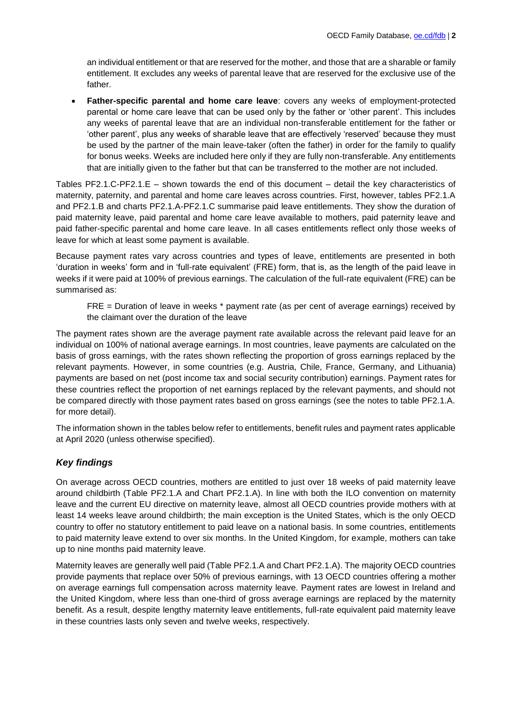an individual entitlement or that are reserved for the mother, and those that are a sharable or family entitlement. It excludes any weeks of parental leave that are reserved for the exclusive use of the father.

 **Father-specific parental and home care leave**: covers any weeks of employment-protected parental or home care leave that can be used only by the father or 'other parent'. This includes any weeks of parental leave that are an individual non-transferable entitlement for the father or 'other parent', plus any weeks of sharable leave that are effectively 'reserved' because they must be used by the partner of the main leave-taker (often the father) in order for the family to qualify for bonus weeks. Weeks are included here only if they are fully non-transferable. Any entitlements that are initially given to the father but that can be transferred to the mother are not included.

Tables PF2.1.C-PF2.1.E – shown towards the end of this document – detail the key characteristics of maternity, paternity, and parental and home care leaves across countries. First, however, tables PF2.1.A and PF2.1.B and charts PF2.1.A-PF2.1.C summarise paid leave entitlements. They show the duration of paid maternity leave, paid parental and home care leave available to mothers, paid paternity leave and paid father-specific parental and home care leave. In all cases entitlements reflect only those weeks of leave for which at least some payment is available.

Because payment rates vary across countries and types of leave, entitlements are presented in both 'duration in weeks' form and in 'full-rate equivalent' (FRE) form, that is, as the length of the paid leave in weeks if it were paid at 100% of previous earnings. The calculation of the full-rate equivalent (FRE) can be summarised as:

FRE = Duration of leave in weeks \* payment rate (as per cent of average earnings) received by the claimant over the duration of the leave

The payment rates shown are the average payment rate available across the relevant paid leave for an individual on 100% of national average earnings. In most countries, leave payments are calculated on the basis of gross earnings, with the rates shown reflecting the proportion of gross earnings replaced by the relevant payments. However, in some countries (e.g. Austria, Chile, France, Germany, and Lithuania) payments are based on net (post income tax and social security contribution) earnings. Payment rates for these countries reflect the proportion of net earnings replaced by the relevant payments, and should not be compared directly with those payment rates based on gross earnings (see the notes to table PF2.1.A. for more detail).

The information shown in the tables below refer to entitlements, benefit rules and payment rates applicable at April 2020 (unless otherwise specified).

## *Key findings*

On average across OECD countries, mothers are entitled to just over 18 weeks of paid maternity leave around childbirth (Table PF2.1.A and Chart PF2.1.A). In line with both the ILO convention on maternity leave and the current EU directive on maternity leave, almost all OECD countries provide mothers with at least 14 weeks leave around childbirth; the main exception is the United States, which is the only OECD country to offer no statutory entitlement to paid leave on a national basis. In some countries, entitlements to paid maternity leave extend to over six months. In the United Kingdom, for example, mothers can take up to nine months paid maternity leave.

Maternity leaves are generally well paid (Table PF2.1.A and Chart PF2.1.A). The majority OECD countries provide payments that replace over 50% of previous earnings, with 13 OECD countries offering a mother on average earnings full compensation across maternity leave. Payment rates are lowest in Ireland and the United Kingdom, where less than one-third of gross average earnings are replaced by the maternity benefit. As a result, despite lengthy maternity leave entitlements, full-rate equivalent paid maternity leave in these countries lasts only seven and twelve weeks, respectively.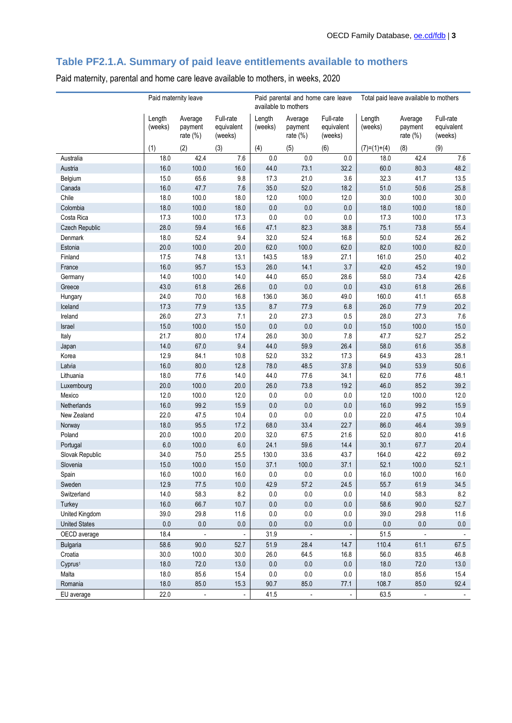## **Table PF2.1.A. Summary of paid leave entitlements available to mothers**

Paid maternity leave Paid parental and home care leave available to mothers Total paid leave available to mothers Length (weeks) Average payment rate (%) Full-rate equivalent (weeks) Length (weeks) Average payment rate (%) Full-rate equivalent (weeks) Length (weeks) Average payment rate (%) Full-rate equivalent (weeks) (1) (2) (3)  $|(4)$  (5) (6)  $|(7)=(1)+(4)$  (8) (9) Australia 18.0 42.4 7.6 0.0 0.0 0.0 18.0 42.4 7.6 Austria 16.0 100.0 16.0 44.0 73.1 32.2 60.0 80.3 48.2 Belgium 15.0 65.6 9.8 17.3 21.0 3.6 32.3 41.7 13.5 Canada 16.0 47.7 7.6 35.0 52.0 18.2 51.0 50.6 25.8 Chile 18.0 100.0 18.0 12.0 100.0 12.0 30.0 100.0 30.0 Colombia 18.0 100.0 18.0 0.0 0.0 0.0 18.0 100.0 18.0 Costa Rica 17.3 100.0 17.3 0.0 0.0 0.0 17.3 100.0 17.3 Czech Republic 28.0 59.4 16.6 47.1 82.3 38.8 75.1 73.8 55.4 Denmark 18.0 52.4 9.4 32.0 52.4 16.8 50.0 52.4 26.2 Estonia 20.0 100.0 20.0 62.0 100.0 62.0 82.0 100.0 82.0 Finland 17.5 74.8 13.1 143.5 18.9 27.1 161.0 25.0 40.2 France 16.0 95.7 15.3 26.0 14.1 3.7 42.0 45.2 19.0 Germany 14.0 100.0 14.0 44.0 65.0 28.6 58.0 73.4 42.6 Greece 43.0 61.8 26.6 0.0 0.0 0.0 43.0 61.8 26.6 Hungary 24.0 70.0 16.8 136.0 36.0 49.0 160.0 41.1 65.8 Iceland 17.3 77.9 13.5 8.7 77.9 6.8 26.0 77.9 20.2 Ireland 26.0 27.3 7.1 2.0 27.3 0.5 28.0 27.3 7.6 Israel 15.0 100.0 15.0 0.0 0.0 0.0 15.0 100.0 15.0 Italy 21.7 80.0 17.4 26.0 30.0 7.8 47.7 52.7 25.2 Japan 14.0 67.0 9.4 44.0 59.9 26.4 58.0 61.6 35.8 Korea 12.9 84.1 10.8 52.0 33.2 17.3 64.9 43.3 28.1 Latvia 16.0 80.0 12.8 78.0 48.5 37.8 94.0 53.9 50.6 Lithuania 18.0 77.6 14.0 44.0 77.6 34.1 62.0 77.6 48.1 Luxembourg 20.0 100.0 20.0 26.0 73.8 19.2 46.0 85.2 39.2 Mexico 12.0 100.0 12.0 0.0 0.0 0.0 12.0 100.0 12.0 Netherlands 16.0 99.2 15.9 0.0 0.0 0.0 16.0 99.2 15.9 New Zealand 22.0 47.5 10.4 0.0 0.0 0.0 22.0 47.5 10.4 Norway 18.0 95.5 17.2 68.0 33.4 22.7 86.0 46.4 39.9 Poland 20.0 100.0 20.0 32.0 67.5 21.6 52.0 80.0 41.6 Portugal 6.0 100.0 6.0 24.1 59.6 14.4 30.1 67.7 20.4 Slovak Republic 34.0 75.0 25.5 130.0 33.6 43.7 164.0 42.2 69.2 Slovenia 15.0 100.0 15.0 37.1 100.0 37.1 52.1 100.0 52.1 Spain 16.0 100.0 16.0 0.0 0.0 0.0 16.0 100.0 16.0 Sweden | 12.9 77.5 10.0 | 42.9 57.2 24.5 | 55.7 61.9 34.5 Switzerland 14.0 58.3 8.2 0.0 0.0 0.0 14.0 58.3 8.2 Turkey 16.0 66.7 10.7 0.0 0.0 0.0 58.6 90.0 52.7 United Kingdom 39.0 29.8 11.6 0.0 0.0 0.0 39.0 29.8 11.6 United States | 0.0 0.0 0.0 | 0.0 0.0 0.0 0.0 0.0 OECD average 18.4 - - 31.9 - - 51.5 - - Bulgaria 58.6 90.0 52.7 51.9 28.4 14.7 110.4 61.1 67.5 Croatia 30.0 100.0 30.0 26.0 64.5 16.8 56.0 83.5 46.8 Cyprus<sup>1</sup> 18.0 72.0 13.0 0.0 0.0 0.0 18.0 72.0 13.0 Malta 18.0 85.6 15.4 0.0 0.0 0.0 18.0 85.6 15.4 Romania 18.0 85.0 15.3 90.7 85.0 77.1 108.7 85.0 92.4 EU average 22.0 - - 41.5 - - 63.5 - -

Paid maternity, parental and home care leave available to mothers, in weeks, 2020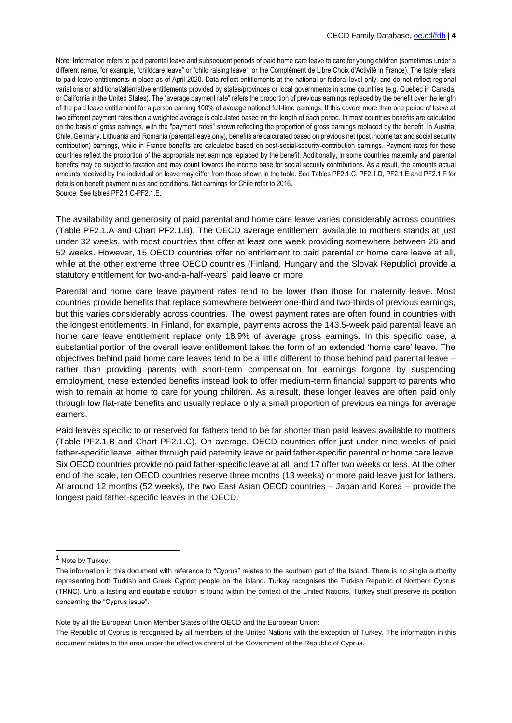Note: Information refers to paid parental leave and subsequent periods of paid home care leave to care for young children (sometimes under a different name, for example, "childcare leave" or "child raising leave", or the Complément de Libre Choix d'Activité in France). The table refers to paid leave entitlements in place as of April 2020. Data reflect entitlements at the national or federal level only, and do not reflect regional variations or additional/alternative entitlements provided by states/provinces or local governments in some countries (e.g. Québec in Canada, or California in the United States). The "average payment rate" refers the proportion of previous earnings replaced by the benefit over the length of the paid leave entitlement for a person earning 100% of average national full-time earnings. If this covers more than one period of leave at two different payment rates then a weighted average is calculated based on the length of each period. In most countries benefits are calculated on the basis of gross earnings, with the "payment rates" shown reflecting the proportion of gross earnings replaced by the benefit. In Austria, Chile, Germany. Lithuania and Romania (parental leave only), benefits are calculated based on previous net (post income tax and social security contribution) earnings, while in France benefits are calculated based on post-social-security-contribution earnings. Payment rates for these countries reflect the proportion of the appropriate net earnings replaced by the benefit. Additionally, in some countries maternity and parental benefits may be subject to taxation and may count towards the income base for social security contributions. As a result, the amounts actual amounts received by the individual on leave may differ from those shown in the table. See Tables PF2.1.C, PF2.1.D, PF2.1.E and PF2.1.F for details on benefit payment rules and conditions. Net earnings for Chile refer to 2016. Source: See tables PF2.1.C-PF2.1.E.

The availability and generosity of paid parental and home care leave varies considerably across countries (Table PF2.1.A and Chart PF2.1.B). The OECD average entitlement available to mothers stands at just under 32 weeks, with most countries that offer at least one week providing somewhere between 26 and 52 weeks. However, 15 OECD countries offer no entitlement to paid parental or home care leave at all, while at the other extreme three OECD countries (Finland, Hungary and the Slovak Republic) provide a statutory entitlement for two-and-a-half-years' paid leave or more.

Parental and home care leave payment rates tend to be lower than those for maternity leave. Most countries provide benefits that replace somewhere between one-third and two-thirds of previous earnings, but this varies considerably across countries. The lowest payment rates are often found in countries with the longest entitlements. In Finland, for example, payments across the 143.5-week paid parental leave an home care leave entitlement replace only 18.9% of average gross earnings. In this specific case, a substantial portion of the overall leave entitlement takes the form of an extended 'home care' leave. The objectives behind paid home care leaves tend to be a little different to those behind paid parental leave – rather than providing parents with short-term compensation for earnings forgone by suspending employment, these extended benefits instead look to offer medium-term financial support to parents who wish to remain at home to care for young children. As a result, these longer leaves are often paid only through low flat-rate benefits and usually replace only a small proportion of previous earnings for average earners.

Paid leaves specific to or reserved for fathers tend to be far shorter than paid leaves available to mothers (Table PF2.1.B and Chart PF2.1.C). On average, OECD countries offer just under nine weeks of paid father-specific leave, either through paid paternity leave or paid father-specific parental or home care leave. Six OECD countries provide no paid father-specific leave at all, and 17 offer two weeks or less. At the other end of the scale, ten OECD countries reserve three months (13 weeks) or more paid leave just for fathers. At around 12 months (52 weeks), the two East Asian OECD countries – Japan and Korea – provide the longest paid father-specific leaves in the OECD.

<sup>1</sup> Note by Turkey:

The information in this document with reference to "Cyprus" relates to the southern part of the Island. There is no single authority representing both Turkish and Greek Cypriot people on the Island. Turkey recognises the Turkish Republic of Northern Cyprus (TRNC). Until a lasting and equitable solution is found within the context of the United Nations, Turkey shall preserve its position concerning the "Cyprus issue".

Note by all the European Union Member States of the OECD and the European Union:

The Republic of Cyprus is recognised by all members of the United Nations with the exception of Turkey. The information in this document relates to the area under the effective control of the Government of the Republic of Cyprus.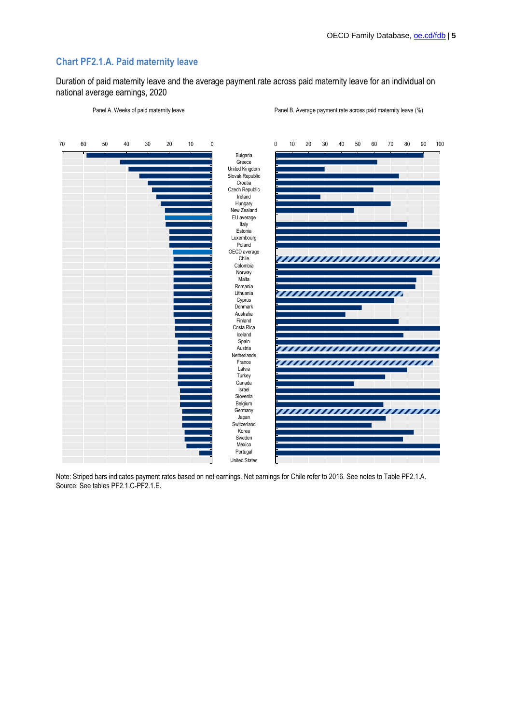## **Chart PF2.1.A. Paid maternity leave**

Duration of paid maternity leave and the average payment rate across paid maternity leave for an individual on national average earnings, 2020

Panel B. Average payment rate across paid maternity leave (%) Panel B. Average payment rate across paid maternity leave (%)



Note: Striped bars indicates payment rates based on net earnings. Net earnings for Chile refer to 2016. See notes to Table PF2.1.A. Source: See tables PF2.1.C-PF2.1.E.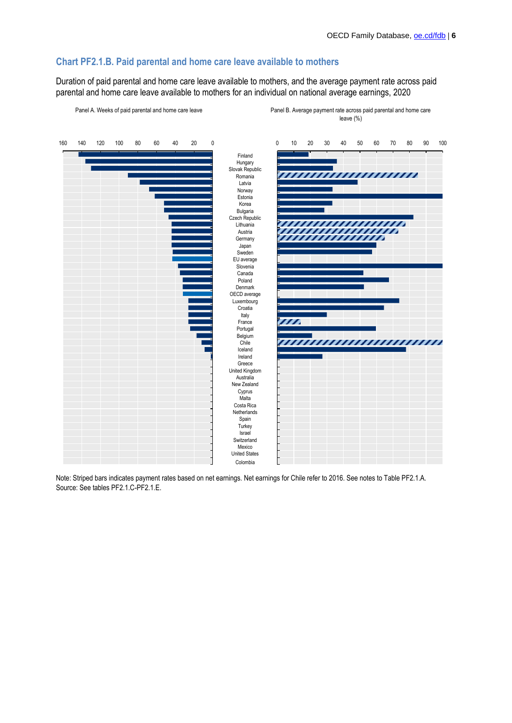## **Chart PF2.1.B. Paid parental and home care leave available to mothers**

Duration of paid parental and home care leave available to mothers, and the average payment rate across paid parental and home care leave available to mothers for an individual on national average earnings, 2020



Note: Striped bars indicates payment rates based on net earnings. Net earnings for Chile refer to 2016. See notes to Table PF2.1.A. Source: See tables PF2.1.C-PF2.1.E.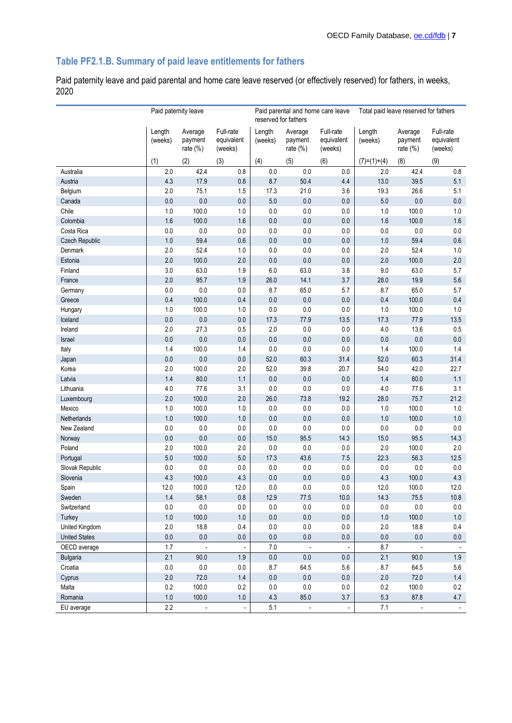## **Table PF2.1.B. Summary of paid leave entitlements for fathers**

Paid paternity leave and paid parental and home care leave reserved (or effectively reserved) for fathers, in weeks, 2020

|                       | Paid paternity leave |                                   |                                    | reserved for fathers |                                   | Paid parental and home care leave  | Total paid leave reserved for fathers |                                   |                                    |
|-----------------------|----------------------|-----------------------------------|------------------------------------|----------------------|-----------------------------------|------------------------------------|---------------------------------------|-----------------------------------|------------------------------------|
|                       | Length<br>(weeks)    | Average<br>payment<br>rate $(\%)$ | Full-rate<br>equivalent<br>(weeks) | Length<br>(weeks)    | Average<br>payment<br>rate $(\%)$ | Full-rate<br>equivalent<br>(weeks) | Length<br>(weeks)                     | Average<br>payment<br>rate $(\%)$ | Full-rate<br>equivalent<br>(weeks) |
|                       | (1)                  | (2)                               | (3)                                | (4)                  | (5)                               | (6)                                | $(7)=(1)+(4)$                         | (8)                               | (9)                                |
| Australia             | 2.0                  | 42.4                              | 0.8                                | $0.0\,$              | 0.0                               | 0.0                                | 2.0                                   | 42.4                              | 0.8                                |
| Austria               | 4.3                  | 17.9                              | 0.8                                | 8.7                  | 50.4                              | 4.4                                | 13.0                                  | 39.5                              | 5.1                                |
| Belgium               | 2.0                  | 75.1                              | 1.5                                | 17.3                 | 21.0                              | 3.6                                | 19.3                                  | 26.6                              | 5.1                                |
| Canada                | 0.0                  | 0.0                               | 0.0                                | 5.0                  | 0.0                               | $0.0\,$                            | 5.0                                   | 0.0                               | 0.0                                |
| Chile                 | $1.0\,$              | 100.0                             | 1.0                                | $0.0\,$              | $0.0\,$                           | 0.0                                | $1.0$                                 | 100.0                             | 1.0                                |
| Colombia              | 1.6                  | 100.0                             | 1.6                                | 0.0                  | 0.0                               | 0.0                                | 1.6                                   | 100.0                             | 1.6                                |
| Costa Rica            | 0.0                  | $0.0\,$                           | $0.0\,$                            | $0.0\,$              | $0.0\,$                           | $0.0\,$                            | $0.0\,$                               | $0.0\,$                           | 0.0                                |
| <b>Czech Republic</b> | 1.0                  | 59.4                              | 0.6                                | 0.0                  | 0.0                               | 0.0                                | 1.0                                   | 59.4                              | 0.6                                |
| Denmark               | 2.0                  | 52.4                              | 1.0                                | $0.0\,$              | 0.0                               | 0.0                                | 2.0                                   | 52.4                              | 1.0                                |
| Estonia               | 2.0                  | 100.0                             | 2.0                                | 0.0                  | 0.0                               | 0.0                                | 2.0                                   | 100.0                             | 2.0                                |
| Finland               | 3.0                  | 63.0                              | 1.9                                | 6.0                  | 63.0                              | 3.8                                | 9.0                                   | 63.0                              | 5.7                                |
| France                | 2.0                  | 95.7                              | 1.9                                | 26.0                 | 14.1                              | 3.7                                | 28.0                                  | 19.9                              | 5.6                                |
| Germany               | 0.0                  | $0.0\,$                           | 0.0                                | 8.7                  | 65.0                              | 5.7                                | 8.7                                   | 65.0                              | 5.7                                |
| Greece                | 0.4                  | 100.0                             | 0.4                                | 0.0                  | 0.0                               | 0.0                                | 0.4                                   | 100.0                             | 0.4                                |
| Hungary               | 1.0                  | 100.0                             | 1.0                                | $0.0\,$              | 0.0                               | 0.0                                | 1.0                                   | 100.0                             | 1.0                                |
| Iceland               | 0.0                  | $0.0\,$                           | 0.0                                | 17.3                 | 77.9                              | 13.5                               | 17.3                                  | 77.9                              | 13.5                               |
| Ireland               | 2.0                  | 27.3                              | 0.5                                | $2.0\,$              | $0.0\,$                           | 0.0                                | $4.0$                                 | 13.6                              | 0.5                                |
| Israel                | $0.0\,$              | $0.0\,$                           | 0.0                                | 0.0                  | 0.0                               | 0.0                                | $0.0\,$                               | $0.0\,$                           | $0.0\,$                            |
| Italy                 | 1.4                  | 100.0                             | 1.4                                | $0.0\,$              | $0.0\,$                           | 0.0                                | 1.4                                   | 100.0                             | 1.4                                |
| Japan                 | 0.0                  | $0.0\,$                           | 0.0                                | 52.0                 | 60.3                              | 31.4                               | 52.0                                  | 60.3                              | 31.4                               |
| Korea                 | 2.0                  | 100.0                             | 2.0                                | 52.0                 | 39.8                              | 20.7                               | 54.0                                  | 42.0                              | 22.7                               |
| Latvia                | 1.4                  | 80.0                              | 1.1                                | 0.0                  | 0.0                               | 0.0                                | 1.4                                   | 80.0                              | 1.1                                |
| Lithuania             | 4.0                  | 77.6                              | 3.1                                | $0.0\,$              | $0.0\,$                           | 0.0                                | 4.0                                   | 77.6                              | 3.1                                |
| Luxembourg            | 2.0                  | 100.0                             | 2.0                                | 26.0                 | 73.8                              | 19.2                               | 28.0                                  | 75.7                              | 21.2                               |
| Mexico                | 1.0                  | 100.0                             | 1.0                                | $0.0\,$              | $0.0\,$                           | 0.0                                | 1.0                                   | 100.0                             | 1.0                                |
| Netherlands           | 1.0                  | 100.0                             | 1.0                                | 0.0                  | 0.0                               | 0.0                                | 1.0                                   | 100.0                             | 1.0                                |
| New Zealand           | 0.0                  | 0.0                               | 0.0                                | $0.0\,$              | 0.0                               | 0.0                                | 0.0                                   | 0.0                               | $0.0\,$                            |
| Norway                | 0.0                  | $0.0\,$                           | 0.0                                | 15.0                 | 95.5                              | 14.3                               | 15.0                                  | 95.5                              | 14.3                               |
| Poland                | 2.0                  | 100.0                             | 2.0                                | $0.0\,$              | $0.0\,$                           | 0.0                                | 2.0                                   | 100.0                             | 2.0                                |
| Portugal              | 5.0                  | 100.0                             | $5.0\,$                            | 17.3                 | 43.6                              | 7.5                                | 22.3                                  | 56.3                              | 12.5                               |
| Slovak Republic       | $0.0\,$              | $0.0\,$                           | $0.0\,$                            | 0.0                  | $0.0\,$                           | 0.0                                | 0.0                                   | $0.0\,$                           | $0.0\,$                            |
| Slovenia              | 4.3                  | 100.0                             | 4.3                                | 0.0                  | 0.0                               | 0.0                                | 4.3                                   | 100.0                             | 4.3                                |
| Spain                 | 12.0                 | 100.0                             | 12.0                               | $0.0\,$              | $0.0\,$                           | $0.0\,$                            | 12.0                                  | 100.0                             | 12.0                               |
| Sweden                | 1.4                  | 58.1                              | 0.8                                | 12.9                 | 77.5                              | 10.0                               | 14.3                                  | 75.5                              | 10.8                               |
| Switzerland           | 0.0                  | $0.0\,$                           | $0.0\,$                            | 0.0                  | $0.0\,$                           | 0.0                                | $0.0\,$                               | $0.0\,$                           | 0.0                                |
| Turkey                | $1.0\,$              | 100.0                             | 1.0                                | $0.0\,$              | $0.0\,$                           | 0.0                                | 1.0                                   | 100.0                             | 1.0                                |
| United Kingdom        | 2.0                  | 18.8                              | 0.4                                | 0.0                  | $0.0\,$                           | 0.0                                | 2.0                                   | 18.8                              | 0.4                                |
| <b>United States</b>  | 0.0                  | 0.0                               | 0.0                                | 0.0                  | $0.0\,$                           | 0.0                                | $0.0\,$                               | 0.0                               | 0.0                                |
| OECD average          | 1.7                  | $\blacksquare$                    | $\Box$                             | 7.0                  | $\overline{\phantom{a}}$          | $\overline{\phantom{a}}$           | 8.7                                   | $\overline{\phantom{a}}$          | $\sim$                             |
| <b>Bulgaria</b>       | 2.1                  | 90.0                              | 1.9                                | 0.0                  | 0.0                               | 0.0                                | 2.1                                   | 90.0                              | 1.9                                |
| Croatia               | 0.0                  | 0.0                               | 0.0                                | 8.7                  | 64.5                              | 5.6                                | 8.7                                   | 64.5                              | 5.6                                |
| Cyprus                | 2.0                  | 72.0                              | 1.4                                | $0.0\,$              | $0.0\,$                           | $0.0\,$                            | 2.0                                   | 72.0                              | 1.4                                |
| Malta                 | 0.2                  | 100.0                             | 0.2                                | $0.0\,$              | $0.0\,$                           | 0.0                                | $0.2\,$                               | 100.0                             | 0.2                                |
| Romania               | $1.0\,$              | 100.0                             | $1.0\,$                            | $4.3\,$              | 85.0                              | $3.7\,$                            | 5.3                                   | 87.8                              | 4.7                                |
| EU average            | 2.2                  | $\overline{\phantom{a}}$          | $\overline{\phantom{a}}$           | 5.1                  | $\overline{\phantom{a}}$          | $\blacksquare$                     | $7.1\,$                               |                                   |                                    |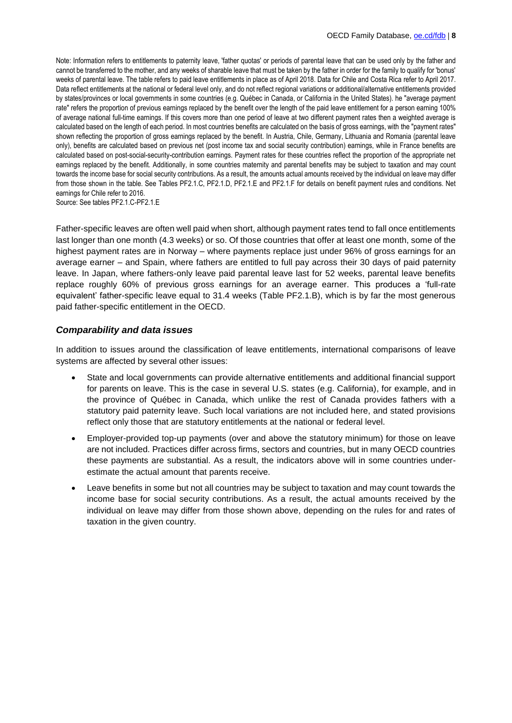Note: Information refers to entitlements to paternity leave, 'father quotas' or periods of parental leave that can be used only by the father and cannot be transferred to the mother, and any weeks of sharable leave that must be taken by the father in order for the family to qualify for 'bonus' weeks of parental leave. The table refers to paid leave entitlements in place as of April 2018. Data for Chile and Costa Rica refer to April 2017. Data reflect entitlements at the national or federal level only, and do not reflect regional variations or additional/alternative entitlements provided by states/provinces or local governments in some countries (e.g. Québec in Canada, or California in the United States). he "average payment rate" refers the proportion of previous earnings replaced by the benefit over the length of the paid leave entitlement for a person earning 100% of average national full-time earnings. If this covers more than one period of leave at two different payment rates then a weighted average is calculated based on the length of each period. In most countries benefits are calculated on the basis of gross earnings, with the "payment rates" shown reflecting the proportion of gross earnings replaced by the benefit. In Austria, Chile, Germany, Lithuania and Romania (parental leave only), benefits are calculated based on previous net (post income tax and social security contribution) earnings, while in France benefits are calculated based on post-social-security-contribution earnings. Payment rates for these countries reflect the proportion of the appropriate net earnings replaced by the benefit. Additionally, in some countries maternity and parental benefits may be subject to taxation and may count towards the income base for social security contributions. As a result, the amounts actual amounts received by the individual on leave may differ from those shown in the table. See Tables PF2.1.C, PF2.1.D, PF2.1.E and PF2.1.F for details on benefit payment rules and conditions. Net earnings for Chile refer to 2016.

Source: See tables PF2.1.C-PF2.1.E

Father-specific leaves are often well paid when short, although payment rates tend to fall once entitlements last longer than one month (4.3 weeks) or so. Of those countries that offer at least one month, some of the highest payment rates are in Norway – where payments replace just under 96% of gross earnings for an average earner – and Spain, where fathers are entitled to full pay across their 30 days of paid paternity leave. In Japan, where fathers-only leave paid parental leave last for 52 weeks, parental leave benefits replace roughly 60% of previous gross earnings for an average earner. This produces a 'full-rate equivalent' father-specific leave equal to 31.4 weeks (Table PF2.1.B), which is by far the most generous paid father-specific entitlement in the OECD.

### *Comparability and data issues*

In addition to issues around the classification of leave entitlements, international comparisons of leave systems are affected by several other issues:

- State and local governments can provide alternative entitlements and additional financial support for parents on leave. This is the case in several U.S. states (e.g. California), for example, and in the province of Québec in Canada, which unlike the rest of Canada provides fathers with a statutory paid paternity leave. Such local variations are not included here, and stated provisions reflect only those that are statutory entitlements at the national or federal level.
- Employer-provided top-up payments (over and above the statutory minimum) for those on leave are not included. Practices differ across firms, sectors and countries, but in many OECD countries these payments are substantial. As a result, the indicators above will in some countries underestimate the actual amount that parents receive.
- Leave benefits in some but not all countries may be subject to taxation and may count towards the income base for social security contributions. As a result, the actual amounts received by the individual on leave may differ from those shown above, depending on the rules for and rates of taxation in the given country.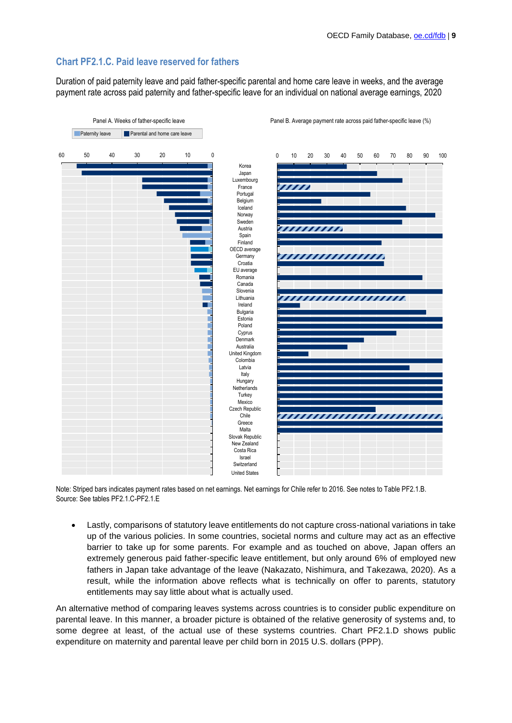## **Chart PF2.1.C. Paid leave reserved for fathers**

Duration of paid paternity leave and paid father-specific parental and home care leave in weeks, and the average payment rate across paid paternity and father-specific leave for an individual on national average earnings, 2020



Note: Striped bars indicates payment rates based on net earnings. Net earnings for Chile refer to 2016. See notes to Table PF2.1.B. Source: See tables PF2.1.C-PF2.1.E

 Lastly, comparisons of statutory leave entitlements do not capture cross-national variations in take up of the various policies. In some countries, societal norms and culture may act as an effective barrier to take up for some parents. For example and as touched on above, Japan offers an extremely generous paid father-specific leave entitlement, but only around 6% of employed new fathers in Japan take advantage of the leave (Nakazato, Nishimura, and Takezawa, 2020). As a result, while the information above reflects what is technically on offer to parents, statutory entitlements may say little about what is actually used.

An alternative method of comparing leaves systems across countries is to consider public expenditure on parental leave. In this manner, a broader picture is obtained of the relative generosity of systems and, to some degree at least, of the actual use of these systems countries. Chart PF2.1.D shows public expenditure on maternity and parental leave per child born in 2015 U.S. dollars (PPP).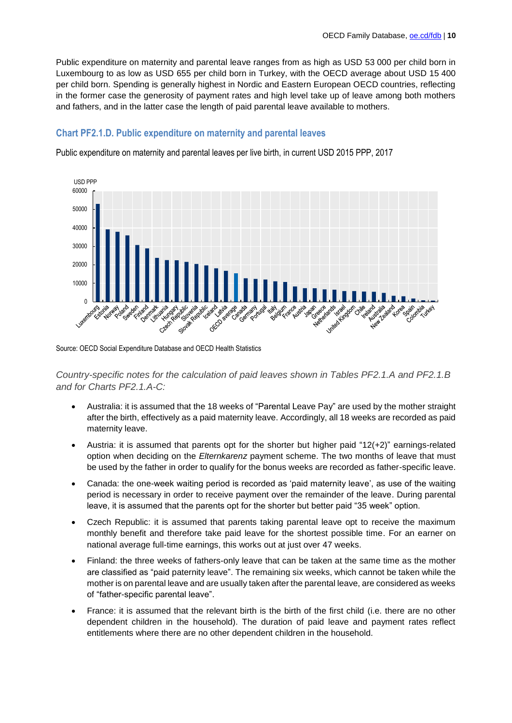Public expenditure on maternity and parental leave ranges from as high as USD 53 000 per child born in Luxembourg to as low as USD 655 per child born in Turkey, with the OECD average about USD 15 400 per child born. Spending is generally highest in Nordic and Eastern European OECD countries, reflecting in the former case the generosity of payment rates and high level take up of leave among both mothers and fathers, and in the latter case the length of paid parental leave available to mothers.

#### **Chart PF2.1.D. Public expenditure on maternity and parental leaves**

Public expenditure on maternity and parental leaves per live birth, in current USD 2015 PPP, 2017



Source: OECD Social Expenditure Database and OECD Health Statistics

*Country-specific notes for the calculation of paid leaves shown in Tables PF2.1.A and PF2.1.B and for Charts PF2.1.A-C:*

- Australia: it is assumed that the 18 weeks of "Parental Leave Pay" are used by the mother straight after the birth, effectively as a paid maternity leave. Accordingly, all 18 weeks are recorded as paid maternity leave.
- Austria: it is assumed that parents opt for the shorter but higher paid "12(+2)" earnings-related option when deciding on the *Elternkarenz* payment scheme. The two months of leave that must be used by the father in order to qualify for the bonus weeks are recorded as father-specific leave.
- Canada: the one-week waiting period is recorded as 'paid maternity leave', as use of the waiting period is necessary in order to receive payment over the remainder of the leave. During parental leave, it is assumed that the parents opt for the shorter but better paid "35 week" option.
- Czech Republic: it is assumed that parents taking parental leave opt to receive the maximum monthly benefit and therefore take paid leave for the shortest possible time. For an earner on national average full-time earnings, this works out at just over 47 weeks.
- Finland: the three weeks of fathers-only leave that can be taken at the same time as the mother are classified as "paid paternity leave". The remaining six weeks, which cannot be taken while the mother is on parental leave and are usually taken after the parental leave, are considered as weeks of "father-specific parental leave".
- France: it is assumed that the relevant birth is the birth of the first child (i.e. there are no other dependent children in the household). The duration of paid leave and payment rates reflect entitlements where there are no other dependent children in the household.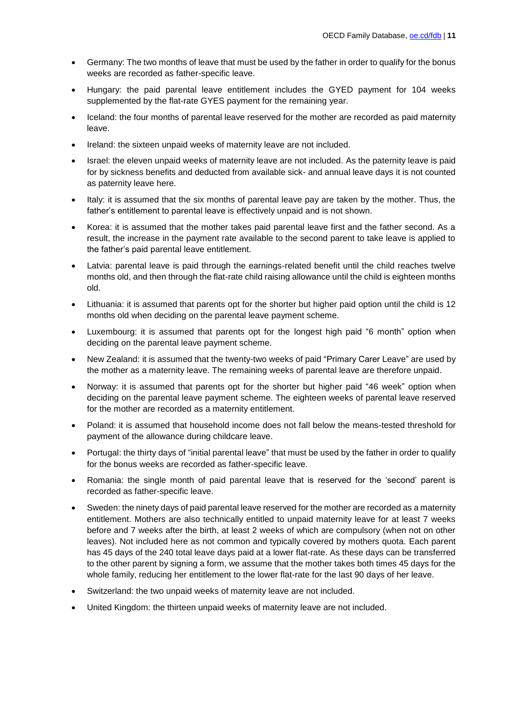- Germany: The two months of leave that must be used by the father in order to qualify for the bonus weeks are recorded as father-specific leave.
- Hungary: the paid parental leave entitlement includes the GYED payment for 104 weeks supplemented by the flat-rate GYES payment for the remaining year.
- Iceland: the four months of parental leave reserved for the mother are recorded as paid maternity leave.
- Ireland: the sixteen unpaid weeks of maternity leave are not included.
- Israel: the eleven unpaid weeks of maternity leave are not included. As the paternity leave is paid for by sickness benefits and deducted from available sick- and annual leave days it is not counted as paternity leave here.
- Italy: it is assumed that the six months of parental leave pay are taken by the mother. Thus, the father's entitlement to parental leave is effectively unpaid and is not shown.
- Korea: it is assumed that the mother takes paid parental leave first and the father second. As a result, the increase in the payment rate available to the second parent to take leave is applied to the father's paid parental leave entitlement.
- Latvia: parental leave is paid through the earnings-related benefit until the child reaches twelve months old, and then through the flat-rate child raising allowance until the child is eighteen months old.
- Lithuania: it is assumed that parents opt for the shorter but higher paid option until the child is 12 months old when deciding on the parental leave payment scheme.
- Luxembourg: it is assumed that parents opt for the longest high paid "6 month" option when deciding on the parental leave payment scheme.
- New Zealand: it is assumed that the twenty-two weeks of paid "Primary Carer Leave" are used by the mother as a maternity leave. The remaining weeks of parental leave are therefore unpaid.
- Norway: it is assumed that parents opt for the shorter but higher paid "46 week" option when deciding on the parental leave payment scheme. The eighteen weeks of parental leave reserved for the mother are recorded as a maternity entitlement.
- Poland: it is assumed that household income does not fall below the means-tested threshold for payment of the allowance during childcare leave.
- Portugal: the thirty days of "initial parental leave" that must be used by the father in order to qualify for the bonus weeks are recorded as father-specific leave.
- Romania: the single month of paid parental leave that is reserved for the 'second' parent is recorded as father-specific leave.
- Sweden: the ninety days of paid parental leave reserved for the mother are recorded as a maternity entitlement. Mothers are also technically entitled to unpaid maternity leave for at least 7 weeks before and 7 weeks after the birth, at least 2 weeks of which are compulsory (when not on other leaves). Not included here as not common and typically covered by mothers quota. Each parent has 45 days of the 240 total leave days paid at a lower flat-rate. As these days can be transferred to the other parent by signing a form, we assume that the mother takes both times 45 days for the whole family, reducing her entitlement to the lower flat-rate for the last 90 days of her leave.
- Switzerland: the two unpaid weeks of maternity leave are not included.
- United Kingdom: the thirteen unpaid weeks of maternity leave are not included.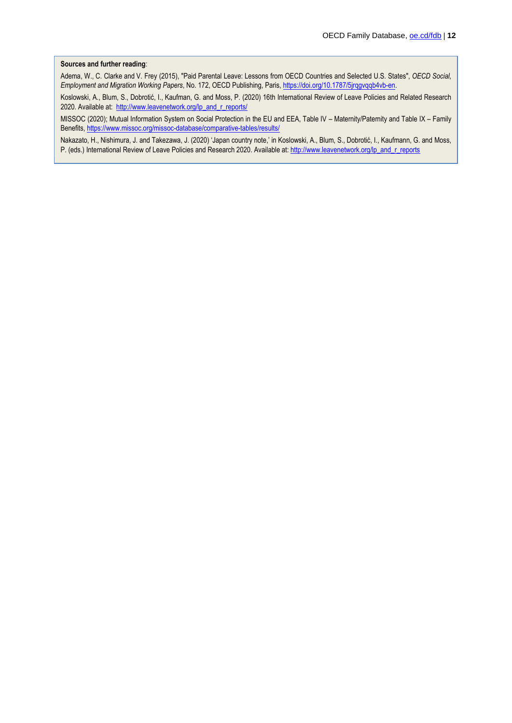#### **Sources and further reading**:

Adema, W., C. Clarke and V. Frey (2015), "Paid Parental Leave: Lessons from OECD Countries and Selected U.S. States", *OECD Social, Employment and Migration Working Papers*, No. 172, OECD Publishing, Paris, [https://doi.org/10.1787/5jrqgvqqb4vb-en.](https://doi.org/10.1787/5jrqgvqqb4vb-en)

Koslowski, A., Blum, S., Dobrotić, I., Kaufman, G. and Moss, P. (2020) 16th International Review of Leave Policies and Related Research 2020. Available at: [http://www.leavenetwork.org/lp\\_and\\_r\\_reports/](http://www.leavenetwork.org/lp_and_r_reports/)

MISSOC (2020); Mutual Information System on Social Protection in the EU and EEA, Table IV – Maternity/Paternity and Table IX – Family Benefits[, https://www.missoc.org/missoc-database/comparative-tables/results/](https://www.missoc.org/missoc-database/comparative-tables/results/)

Nakazato, H., Nishimura, J. and Takezawa, J. (2020) 'Japan country note,' in Koslowski, A., Blum, S., Dobrotić, I., Kaufmann, G. and Moss, P. (eds.) International Review of Leave Policies and Research 2020. Available at: [http://www.leavenetwork.org/lp\\_and\\_r\\_reports](http://www.leavenetwork.org/lp_and_r_reports)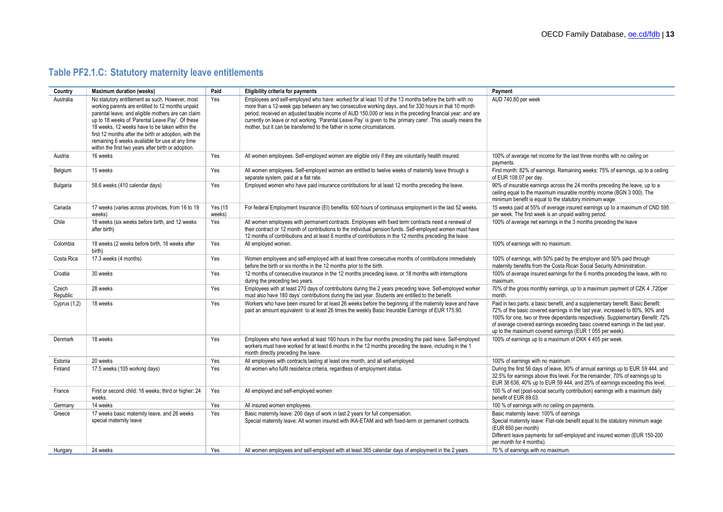# **Table PF2.1.C: Statutory maternity leave entitlements**

| Country           | <b>Maximum duration (weeks)</b>                                                                                                                                                                                                                                                                                                                                                                                                    | Paid              | <b>Eligibility criteria for payments</b>                                                                                                                                                                                                                                                                                                                                                                                                                                                                                   | Payment                                                                                                                                                                                                                                                                                                                                                                                          |
|-------------------|------------------------------------------------------------------------------------------------------------------------------------------------------------------------------------------------------------------------------------------------------------------------------------------------------------------------------------------------------------------------------------------------------------------------------------|-------------------|----------------------------------------------------------------------------------------------------------------------------------------------------------------------------------------------------------------------------------------------------------------------------------------------------------------------------------------------------------------------------------------------------------------------------------------------------------------------------------------------------------------------------|--------------------------------------------------------------------------------------------------------------------------------------------------------------------------------------------------------------------------------------------------------------------------------------------------------------------------------------------------------------------------------------------------|
| Australia         | No statutory entitlement as such. However, most<br>working parents are entitled to 12 months unpaid<br>parental leave, and eligible mothers are can claim<br>up to 18 weeks of 'Parental Leave Pay'. Of these<br>18 weeks, 12 weeks have to be taken within the<br>first 12 months after the birth or adoption, with the<br>remaining 6 weeks available for use at any time<br>within the first two years after birth or adoption. | Yes               | Employees and self-employed who have: worked for at least 10 of the 13 months before the birth with no<br>more than a 12-week gap between any two consecutive working days, and for 330 hours in that 10 month<br>period; received an adjusted taxable income of AUD 150,000 or less in the preceding financial year; and are<br>currently on leave or not working. 'Parental Leave Pay' is given to the 'primary carer'. This usually means the<br>mother, but it can be transferred to the father in some circumstances. | AUD 740.80 per week                                                                                                                                                                                                                                                                                                                                                                              |
| Austria           | 16 weeks                                                                                                                                                                                                                                                                                                                                                                                                                           | Yes               | All women employees. Self-employed women are eligible only if they are voluntarily health insured.                                                                                                                                                                                                                                                                                                                                                                                                                         | 100% of average net income for the last three months with no ceiling on<br>payments.                                                                                                                                                                                                                                                                                                             |
| Belgium           | 15 weeks                                                                                                                                                                                                                                                                                                                                                                                                                           | Yes               | All women employees. Self-employed women are entitled to twelve weeks of maternity leave through a<br>separate system, paid at a flat rate.                                                                                                                                                                                                                                                                                                                                                                                | First month: 82% of earnings. Remaining weeks: 75% of earnings, up to a ceiling<br>of EUR 108.07 per day.                                                                                                                                                                                                                                                                                        |
| Bulgaria          | 58.6 weeks (410 calendar days)                                                                                                                                                                                                                                                                                                                                                                                                     | Yes               | Employed women who have paid insurance contributions for at least 12 months preceding the leave.                                                                                                                                                                                                                                                                                                                                                                                                                           | 90% of insurable earnings across the 24 months preceding the leave, up to a<br>ceiling equal to the maximum insurable monthly income (BGN 3 000). The<br>minimum benefit is equal to the statutory minimum wage.                                                                                                                                                                                 |
| Canada            | 17 weeks (varies across provinces, from 16 to 19<br>weeks)                                                                                                                                                                                                                                                                                                                                                                         | Yes (15<br>weeks) | For federal Employment Insurance (EI) benefits: 600 hours of continuous employment in the last 52 weeks.                                                                                                                                                                                                                                                                                                                                                                                                                   | 15 weeks paid at 55% of average insured earnings up to a maximum of CND 595<br>per week. The first week is an unpaid waiting period.                                                                                                                                                                                                                                                             |
| Chile             | 18 weeks (six weeks before birth, and 12 weeks<br>after birth)                                                                                                                                                                                                                                                                                                                                                                     | Yes               | All women employees with permanent contracts. Employees with fixed term contracts need a renewal of<br>their contract or 12 month of contributions to the individual pension funds. Self-employed women must have<br>12 months of contributions and at least 6 months of contributions in the 12 months preceding the leave.                                                                                                                                                                                               | 100% of average net earnings in the 3 months preceding the leave                                                                                                                                                                                                                                                                                                                                 |
| Colombia          | 18 weeks (2 weeks before birth, 16 weeks after<br>birth)                                                                                                                                                                                                                                                                                                                                                                           | Yes               | All employed women.                                                                                                                                                                                                                                                                                                                                                                                                                                                                                                        | 100% of earnings with no maximum.                                                                                                                                                                                                                                                                                                                                                                |
| Costa Rica        | 17.3 weeks (4 months)                                                                                                                                                                                                                                                                                                                                                                                                              | Yes               | Women employees and self-employed with at least three consecutive months of contributions immediately<br>before the birth or six months in the 12 months prior to the birth.                                                                                                                                                                                                                                                                                                                                               | 100% of earnings, with 50% paid by the employer and 50% paid through<br>maternity benefits from the Costa Rican Social Security Administration.                                                                                                                                                                                                                                                  |
| Croatia           | 30 weeks                                                                                                                                                                                                                                                                                                                                                                                                                           | Yes               | 12 months of consecutive insurance in the 12 months preceding leave, or 18 months with interruptions<br>during the preceding two years.                                                                                                                                                                                                                                                                                                                                                                                    | 100% of average insured earnings for the 6 months preceding the leave, with no<br>maximum.                                                                                                                                                                                                                                                                                                       |
| Czech<br>Republic | 28 weeks                                                                                                                                                                                                                                                                                                                                                                                                                           | Yes               | Employees with at least 270 days of contributions during the 2 years preceding leave. Self-employed worker<br>must also have 180 days' contributions during the last year. Students are entitled to the benefit.                                                                                                                                                                                                                                                                                                           | 70% of the gross monthly earnings, up to a maximum payment of CZK 4,720per<br>month.                                                                                                                                                                                                                                                                                                             |
| Cyprus $(1,2)$    | 18 weeks                                                                                                                                                                                                                                                                                                                                                                                                                           | Yes               | Workers who have been insured for at least 26 weeks before the beginning of the maternity leave and have<br>paid an amount equivalent to at least 26 times the weekly Basic Insurable Earnings of EUR 175.90.                                                                                                                                                                                                                                                                                                              | Paid in two parts: a basic benefit, and a supplementary benefit. Basic Benefit:<br>72% of the basic covered earnings in the last year, increased to 80%, 90% and<br>100% for one, two or three dependants respectively. Supplementary Benefit: 72%<br>of average covered earnings exceeding basic covered earnings in the last year,<br>up to the maximum covered earnings (EUR 1 055 per week). |
| Denmark           | 18 weeks                                                                                                                                                                                                                                                                                                                                                                                                                           | Yes               | Employees who have worked at least 160 hours in the four months preceding the paid leave. Self-employed<br>workers must have worked for at least 6 months in the 12 months preceding the leave, including in the 1<br>month directly preceding the leave.                                                                                                                                                                                                                                                                  | 100% of earnings up to a maximum of DKK 4 405 per week.                                                                                                                                                                                                                                                                                                                                          |
| Estonia           | 20 weeks                                                                                                                                                                                                                                                                                                                                                                                                                           | Yes               | All employees with contracts lasting at least one month, and all self-employed.                                                                                                                                                                                                                                                                                                                                                                                                                                            | 100% of earnings with no maximum.                                                                                                                                                                                                                                                                                                                                                                |
| Finland           | 17.5 weeks (105 working days)                                                                                                                                                                                                                                                                                                                                                                                                      | Yes               | All women who fulfil residence criteria, regardless of employment status.                                                                                                                                                                                                                                                                                                                                                                                                                                                  | During the first 56 days of leave, 90% of annual earnings up to EUR 59 444, and<br>32.5% for earnings above this level. For the remainder, 70% of earnings up to<br>EUR 38 636, 40% up to EUR 59 444, and 25% of earnings exceeding this level.                                                                                                                                                  |
| France            | First or second child: 16 weeks; third or higher: 24<br>weeks.                                                                                                                                                                                                                                                                                                                                                                     | Yes               | All employed and self-employed women                                                                                                                                                                                                                                                                                                                                                                                                                                                                                       | 100 % of net (post-social security contribution) earnings with a maximum daily<br>benefit of EUR 89.03.                                                                                                                                                                                                                                                                                          |
| Germany           | 14 weeks                                                                                                                                                                                                                                                                                                                                                                                                                           | Yes               | All insured women employees.                                                                                                                                                                                                                                                                                                                                                                                                                                                                                               | 100 % of earnings with no ceiling on payments.                                                                                                                                                                                                                                                                                                                                                   |
| Greece            | 17 weeks basic maternity leave, and 26 weeks<br>special maternity leave                                                                                                                                                                                                                                                                                                                                                            | Yes               | Basic maternity leave: 200 days of work in last 2 years for full compensation.<br>Special maternity leave: All women insured with IKA-ETAM and with fixed-term or permanent contracts.                                                                                                                                                                                                                                                                                                                                     | Basic maternity leave: 100% of earnings<br>Special maternity leave: Flat-rate benefit equal to the statutory minimum wage<br>(EUR 650 per month)<br>Different leave payments for self-employed and insured women (EUR 150-200<br>per month for 4 months).                                                                                                                                        |
| Hungary           | 24 weeks                                                                                                                                                                                                                                                                                                                                                                                                                           | Yes               | All women employees and self-employed with at least 365 calendar days of employment in the 2 years                                                                                                                                                                                                                                                                                                                                                                                                                         | 70 % of earnings with no maximum.                                                                                                                                                                                                                                                                                                                                                                |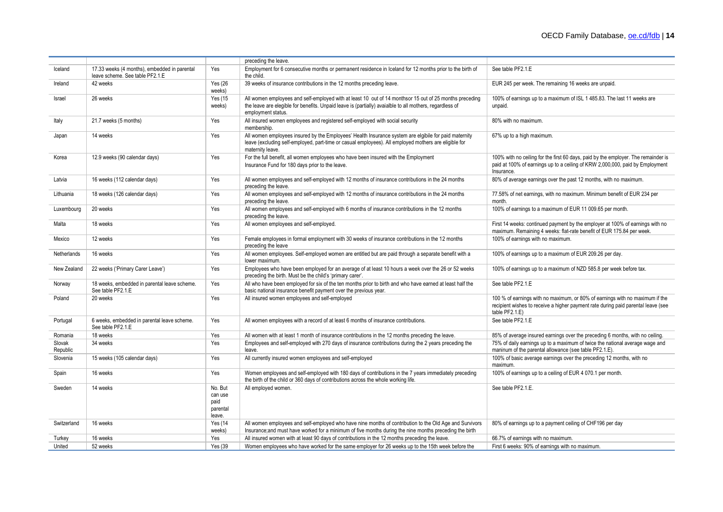|                    |                                                                                 |                                                  | preceding the leave.                                                                                                                                                                                                                      |                                                                                                                                                                                     |
|--------------------|---------------------------------------------------------------------------------|--------------------------------------------------|-------------------------------------------------------------------------------------------------------------------------------------------------------------------------------------------------------------------------------------------|-------------------------------------------------------------------------------------------------------------------------------------------------------------------------------------|
| Iceland            | 17.33 weeks (4 months), embedded in parental<br>leave scheme. See table PF2.1.E | Yes                                              | Employment for 6 consecutive months or permanent residence in Iceland for 12 months prior to the birth of<br>the child.                                                                                                                   | See table PF2.1.E                                                                                                                                                                   |
| Ireland            | 42 weeks                                                                        | <b>Yes (26)</b><br>weeks)                        | 39 weeks of insurance contributions in the 12 months preceding leave.                                                                                                                                                                     | EUR 245 per week. The remaining 16 weeks are unpaid.                                                                                                                                |
| Israel             | 26 weeks                                                                        | Yes (15<br>weeks)                                | All women employees and self-employed with at least 10 out of 14 monthsor 15 out of 25 months preceding<br>the leave are elegible for benefits. Unpaid leave is (partially) avaialble to all mothers, regardless of<br>employment status. | 100% of earnings up to a maximum of ISL 1 485.83. The last 11 weeks are<br>unpaid.                                                                                                  |
| Italy              | 21.7 weeks (5 months)                                                           | Yes                                              | All insured women employees and registered self-employed with social security<br>membership.                                                                                                                                              | 80% with no maximum.                                                                                                                                                                |
| Japan              | 14 weeks                                                                        | Yes                                              | All women employees insured by the Employees' Health Insurance system are elgibile for paid maternity<br>leave (excluding self-employed, part-time or casual employees). All employed mothers are eligible for<br>maternity leave.        | 67% up to a high maximum.                                                                                                                                                           |
| Korea              | 12.9 weeks (90 calendar days)                                                   | Yes                                              | For the full benefit, all women employees who have been insured with the Employment<br>Insurance Fund for 180 days prior to the leave.                                                                                                    | 100% with no ceiling for the first 60 days, paid by the employer. The remainder is<br>paid at 100% of earnings up to a ceiling of KRW 2,000,000, paid by Employment<br>Insurance.   |
| Latvia             | 16 weeks (112 calendar days)                                                    | Yes                                              | All women employees and self-employed with 12 months of insurance contributions in the 24 months<br>preceding the leave.                                                                                                                  | 80% of average earnings over the past 12 months, with no maximum.                                                                                                                   |
| Lithuania          | 18 weeks (126 calendar days)                                                    | Yes                                              | All women employees and self-employed with 12 months of insurance contributions in the 24 months<br>preceding the leave.                                                                                                                  | 77.58% of net earnings, with no maximum. Minimum benefit of EUR 234 per<br>month.                                                                                                   |
| Luxembourg         | 20 weeks                                                                        | Yes                                              | All women employees and self-employed with 6 months of insurance contributions in the 12 months<br>preceding the leave.                                                                                                                   | 100% of earnings to a maximum of EUR 11 009.65 per month.                                                                                                                           |
| Malta              | 18 weeks                                                                        | Yes                                              | All women employees and self-employed.                                                                                                                                                                                                    | First 14 weeks: continued payment by the employer at 100% of earnings with no<br>maximum. Remaining 4 weeks: flat-rate benefit of EUR 175.84 per week.                              |
| Mexico             | 12 weeks                                                                        | Yes                                              | Female employees in formal employment with 30 weeks of insurance contributions in the 12 months<br>preceding the leave                                                                                                                    | 100% of earnings with no maximum.                                                                                                                                                   |
| Netherlands        | 16 weeks                                                                        | Yes                                              | All women employees. Self-employed women are entitled but are paid through a separate benefit with a<br>lower maximum.                                                                                                                    | 100% of earnings up to a maximum of EUR 209.26 per day.                                                                                                                             |
| New Zealand        | 22 weeks ('Primary Carer Leave')                                                | Yes                                              | Employees who have been employed for an average of at least 10 hours a week over the 26 or 52 weeks<br>preceding the birth. Must be the child's 'primary carer'.                                                                          | 100% of earnings up to a maximum of NZD 585.8 per week before tax.                                                                                                                  |
| Norway             | 18 weeks, embedded in parental leave scheme.<br>See table PF2.1.E               | Yes                                              | All who have been employed for six of the ten months prior to birth and who have earned at least half the<br>basic national insurance benefit payment over the previous year.                                                             | See table PF2.1.E                                                                                                                                                                   |
| Poland             | 20 weeks                                                                        | Yes                                              | All insured women employees and self-employed                                                                                                                                                                                             | 100 % of earnings with no maximum, or 80% of earnings with no maximum if the<br>recipient wishes to receive a higher payment rate during paid parental leave (see<br>table PF2.1.E) |
| Portugal           | 6 weeks, embedded in parental leave scheme.<br>See table PF2.1.E                | Yes                                              | All women employees with a record of at least 6 months of insurance contributions.                                                                                                                                                        | See table PF2.1.E                                                                                                                                                                   |
| Romania            | 18 weeks                                                                        | Yes                                              | All women with at least 1 month of insurance contributions in the 12 months preceding the leave.                                                                                                                                          | 85% of average insured earnings over the preceding 6 months, with no ceiling.                                                                                                       |
| Slovak<br>Republic | 34 weeks                                                                        | Yes                                              | Employees and self-employed with 270 days of insurance contributions during the 2 years preceding the<br>leave.                                                                                                                           | 75% of daily earnings up to a maximum of twice the national average wage and<br>maninum of the parental allowance (see table PF2.1.E).                                              |
| Slovenia           | 15 weeks (105 calendar days)                                                    | Yes                                              | All currently insured women employees and self-employed                                                                                                                                                                                   | 100% of basic average earnings over the preceding 12 months, with no<br>maximum.                                                                                                    |
| Spain              | 16 weeks                                                                        | Yes                                              | Women employees and self-employed with 180 days of contributions in the 7 years immediately preceding<br>the birth of the child or 360 days of contributions across the whole working life.                                               | 100% of earnings up to a ceiling of EUR 4 070.1 per month.                                                                                                                          |
| Sweden             | 14 weeks                                                                        | No. But<br>can use<br>paid<br>parental<br>leave. | All employed women.                                                                                                                                                                                                                       | See table PF2.1.E.                                                                                                                                                                  |
| Switzerland        | 16 weeks                                                                        | <b>Yes</b> (14<br>weeks)                         | All women employees and self-employed who have nine months of contribution to the Old Age and Survivors<br>Insurance; and must have worked for a minimum of five months during the nine months preceding the birth                        | 80% of earnings up to a payment ceiling of CHF196 per day                                                                                                                           |
| Turkey             | 16 weeks                                                                        | Yes                                              | All insured women with at least 90 days of contributions in the 12 months preceding the leave.                                                                                                                                            | 66.7% of earnings with no maximum.                                                                                                                                                  |
| United             | 52 weeks                                                                        | <b>Yes (39)</b>                                  | Women employees who have worked for the same employer for 26 weeks up to the 15th week before the                                                                                                                                         | First 6 weeks: 90% of earnings with no maximum.                                                                                                                                     |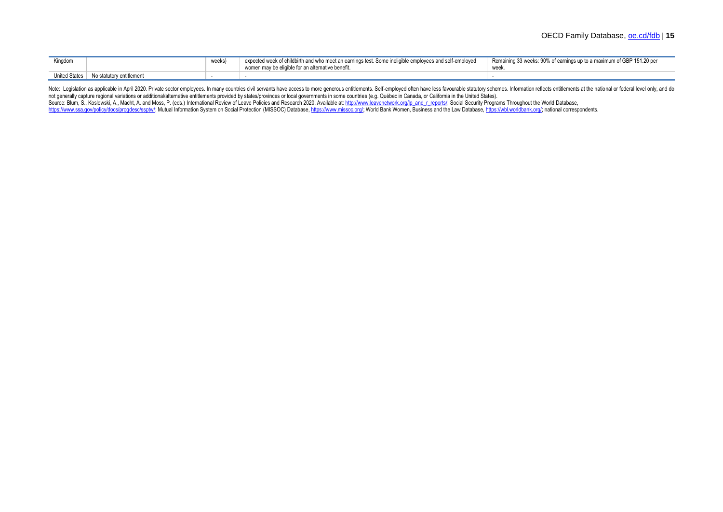| Kingdom              |                          | weeks) | expected week of childbirth and who meet an earnings test. Some ineligible employees and self-employed<br>women may be eligible for an alternative benefit. | Remaining 33 weeks: 90% of earnings up to a maximum of GBP 151.20 per |
|----------------------|--------------------------|--------|-------------------------------------------------------------------------------------------------------------------------------------------------------------|-----------------------------------------------------------------------|
| <b>United States</b> | No statutory entitlement |        |                                                                                                                                                             |                                                                       |

Note: Legislation as applicable in April 2020. Private sector employees. In many countries civil servants have access to more generous entitlements. Self-employed often have less favourable statutory schemes. Information r not generally capture regional variations or additional/alternative entitlements provided by states/provinces or local governments in some countries (e.g. Québec in Canada, or California in the United States).

Source: Blum, S., Koslowski, A., Macht, A. and Moss, P. (eds.) International Review of Leave Policies and Research 2020. Available at[: http://www.leavenetwork.org/lp\\_and\\_r\\_reports/;](http://www.leavenetwork.org/lp_and_r_reports/) Social Security Programs Throughout the

[https://www.ssa.gov/policy/docs/progdesc/ssptw/;](https://www.ssa.gov/policy/docs/progdesc/ssptw/) Mutual Information System on Social Protection (MISSOC) Database[, https://www.missoc.org/;](https://www.missoc.org/) World Bank Women, Business and the Law Database[, https://wbl.worldbank.org/;](https://wbl.worldbank.org/) natio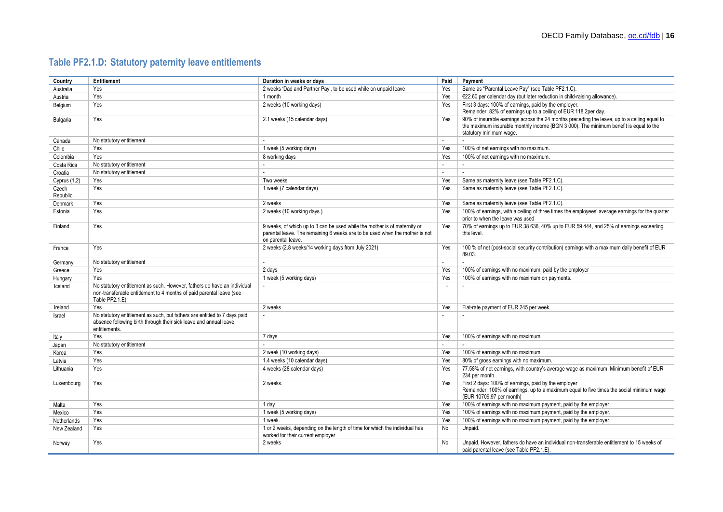# **Table PF2.1.D: Statutory paternity leave entitlements**

| Country      | Entitlement                                                                             | Duration in weeks or days                                                   | Paid                     | Payment                                                                                                                                          |
|--------------|-----------------------------------------------------------------------------------------|-----------------------------------------------------------------------------|--------------------------|--------------------------------------------------------------------------------------------------------------------------------------------------|
| Australia    | Yes                                                                                     | 2 weeks 'Dad and Partner Pay', to be used while on unpaid leave             | Yes                      | Same as "Parental Leave Pay" (see Table PF2.1.C).                                                                                                |
| Austria      | Yes                                                                                     | 1 month                                                                     | Yes                      | €22.60 per calendar day (but later reduction in child-raising allowance)                                                                         |
| Belgium      | Yes                                                                                     | 2 weeks (10 working days)                                                   | Yes                      | First 3 days: 100% of earnings, paid by the employer.                                                                                            |
|              |                                                                                         |                                                                             |                          | Remainder: 82% of earnings up to a ceiling of EUR 118.2per day.                                                                                  |
| Bulgaria     | Yes                                                                                     | 2.1 weeks (15 calendar days)                                                | Yes                      | 90% of insurable earnings across the 24 months preceding the leave, up to a ceiling equal to                                                     |
|              |                                                                                         |                                                                             |                          | the maximum insurable monthly income (BGN 3 000). The minimum benefit is equal to the                                                            |
|              |                                                                                         |                                                                             |                          | statutory minimum wage.                                                                                                                          |
| Canada       | No statutory entitlement                                                                |                                                                             | $\blacksquare$           |                                                                                                                                                  |
| Chile        | Yes                                                                                     | 1 week (5 working days)                                                     | Yes                      | 100% of net earnings with no maximum.                                                                                                            |
| Colombia     | Yes                                                                                     | 8 working days                                                              | Yes                      | 100% of net earnings with no maximum.                                                                                                            |
| Costa Rica   | No statutory entitlement                                                                |                                                                             | $\overline{a}$           |                                                                                                                                                  |
| Croatia      | No statutory entitlement                                                                |                                                                             | $\mathbf{r}$             |                                                                                                                                                  |
| Cyprus (1,2) | Yes                                                                                     | Two weeks                                                                   | Yes                      | Same as maternity leave (see Table PF2.1.C).                                                                                                     |
| Czech        | Yes                                                                                     | 1 week (7 calendar days)                                                    | Yes                      | Same as maternity leave (see Table PF2.1.C).                                                                                                     |
| Republic     |                                                                                         |                                                                             |                          |                                                                                                                                                  |
| Denmark      | Yes                                                                                     | 2 weeks                                                                     | Yes                      | Same as maternity leave (see Table PF2.1.C).                                                                                                     |
| Estonia      | Yes                                                                                     | 2 weeks (10 working days)                                                   | Yes                      | 100% of earnings, with a ceiling of three times the employees' average earnings for the quarter<br>prior to when the leave was used              |
| Finland      | Yes                                                                                     | 9 weeks, of which up to 3 can be used while the mother is of maternity or   | Yes                      | 70% of earnings up to EUR 38 636, 40% up to EUR 59 444, and 25% of earnings exceeding                                                            |
|              |                                                                                         | parental leave. The remaining 6 weeks are to be used when the mother is not |                          | this level.                                                                                                                                      |
|              | Yes                                                                                     | on parental leave.<br>2 weeks (2.8 weeks/14 working days from July 2021)    | Yes                      | 100 % of net (post-social security contribution) earnings with a maximum daily benefit of EUR                                                    |
| France       |                                                                                         |                                                                             |                          | 89.03.                                                                                                                                           |
| Germany      | No statutory entitlement                                                                |                                                                             | $\overline{\phantom{a}}$ |                                                                                                                                                  |
| Greece       | Yes                                                                                     | 2 days                                                                      | Yes                      | 100% of earnings with no maximum, paid by the employer                                                                                           |
| Hungary      | Yes                                                                                     | 1 week (5 working days)                                                     | Yes                      | 100% of earnings with no maximum on payments.                                                                                                    |
| Iceland      | No statutory entitlement as such. However, fathers do have an individual                |                                                                             |                          |                                                                                                                                                  |
|              | non-transferable entitlement to 4 months of paid parental leave (see<br>Table PF2.1.E). |                                                                             |                          |                                                                                                                                                  |
| Ireland      | Yes                                                                                     | 2 weeks                                                                     | Yes                      | Flat-rate payment of EUR 245 per week.                                                                                                           |
| Israel       | No statutory entitlement as such, but fathers are entitled to 7 days paid               |                                                                             |                          |                                                                                                                                                  |
|              | absence following birth through their sick leave and annual leave                       |                                                                             |                          |                                                                                                                                                  |
|              | entitlements.                                                                           |                                                                             |                          |                                                                                                                                                  |
| Italy        | Yes                                                                                     | 7 days                                                                      | Yes                      | 100% of earnings with no maximum.                                                                                                                |
| Japan        | No statutory entitlement                                                                |                                                                             | $\sim$                   |                                                                                                                                                  |
| Korea        | Yes                                                                                     | 2 week (10 working days)                                                    | Yes                      | 100% of earnings with no maximum.                                                                                                                |
| Latvia       | Yes                                                                                     | 1.4 weeks (10 calendar days)                                                | Yes                      | 80% of gross earnings with no maximum.                                                                                                           |
| Lithuania    | Yes                                                                                     | 4 weeks (28 calendar days)                                                  | Yes                      | 77.58% of net earnings, with country's average wage as maximum. Minimum benefit of EUR<br>234 per month.                                         |
| Luxembourg   | Yes                                                                                     | 2 weeks.                                                                    | Yes                      | First 2 days: 100% of earnings, paid by the employer<br>Remainder: 100% of earnings, up to a maximum equal to five times the social minimum wage |
|              |                                                                                         |                                                                             |                          | (EUR 10709.97 per month)                                                                                                                         |
| Malta        | Yes                                                                                     | 1 day                                                                       | Yes                      | 100% of earnings with no maximum payment, paid by the employer.                                                                                  |
| Mexico       | Yes                                                                                     | 1 week (5 working days)                                                     | Yes                      | 100% of earnings with no maximum payment, paid by the employer.                                                                                  |
| Netherlands  | Yes                                                                                     | 1 week.                                                                     | Yes                      | 100% of earnings with no maximum payment, paid by the employer.                                                                                  |
| New Zealand  | Yes                                                                                     | 1 or 2 weeks, depending on the length of time for which the individual has  | No                       | Unpaid.                                                                                                                                          |
|              |                                                                                         | worked for their current employer                                           |                          |                                                                                                                                                  |
| Norway       | Yes                                                                                     | 2 weeks                                                                     | No                       | Unpaid. However, fathers do have an individual non-transferable entitlement to 15 weeks of                                                       |
|              |                                                                                         |                                                                             |                          | paid parental leave (see Table PF2.1.E).                                                                                                         |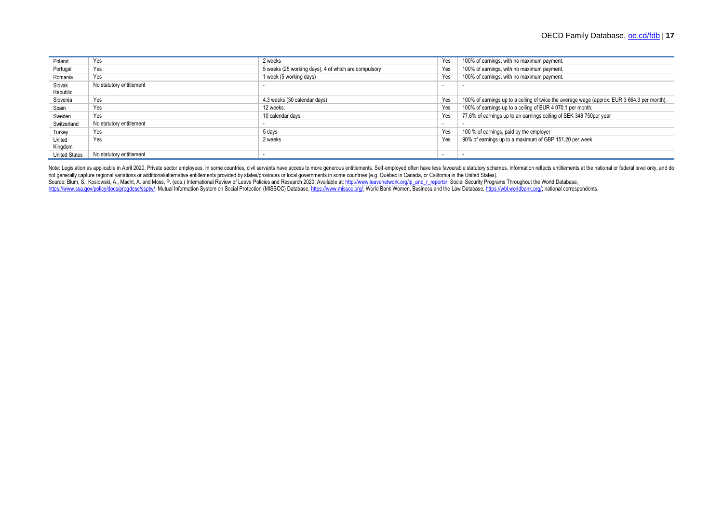| Poland               | Yes                      | 2 weeks                                              | Yes    | 100% of earnings, with no maximum payment.                                                  |
|----------------------|--------------------------|------------------------------------------------------|--------|---------------------------------------------------------------------------------------------|
| Portugal             | Yes                      | 5 weeks (25 working days), 4 of which are compulsory | Yes    | 100% of earnings, with no maximum payment.                                                  |
| Romania              | Yes                      | 1 week (5 working days)                              | Yes    | 100% of earnings, with no maximum payment.                                                  |
| Slovak               | No statutory entitlement |                                                      | $\sim$ |                                                                                             |
| Republic             |                          |                                                      |        |                                                                                             |
| Slovenia             | Yes                      | 4.3 weeks (30 calendar days)                         | Yes    | 100% of earnings up to a ceiling of twice the average wage (approx. EUR 3 664.3 per month). |
| Spain                | Yes                      | 12 weeks.                                            | Yes    | 100% of earnings up to a ceiling of EUR 4 070.1 per month.                                  |
| Sweden               | Yes                      | 10 calendar days                                     | Yes    | 77.6% of earnings up to an earnings ceiling of SEK 348 750per year                          |
| Switzerland          | No statutory entitlement |                                                      |        |                                                                                             |
| Turkey               | Yes                      | 5 days                                               | Yes    | 100 % of earnings, paid by the employer                                                     |
| United               | Yes                      | 2 weeks                                              | Yes    | 90% of earnings up to a maximum of GBP 151.20 per week                                      |
| Kingdom              |                          |                                                      |        |                                                                                             |
| <b>United States</b> | No statutory entitlement |                                                      |        |                                                                                             |

Note: Legislation as applicable in April 2020. Private sector employees. In some countries, civil servants have access to more generous entitlements. Self-employed often have less favourable statutory schemes. Information not generally capture regional variations or additional/alternative entitlements provided by states/provinces or local governments in some countries (e.g. Québec in Canada, or California in the United States).

Source: Blum, S., Koslowski, A., Macht, A. and Moss, P. (eds.) International Review of Leave Policies and Research 2020. Available at[: http://www.leavenetwork.org/lp\\_and\\_r\\_reports/;](http://www.leavenetwork.org/lp_and_r_reports/) Social Security Programs Throughout the [https://www.ssa.gov/policy/docs/progdesc/ssptw/;](https://www.ssa.gov/policy/docs/progdesc/ssptw/) Mutual Information System on Social Protection (MISSOC) Database[, https://www.missoc.org/;](https://www.missoc.org/) World Bank Women, Business and the Law Database[, https://wbl.worldbank.org/;](https://wbl.worldbank.org/) natio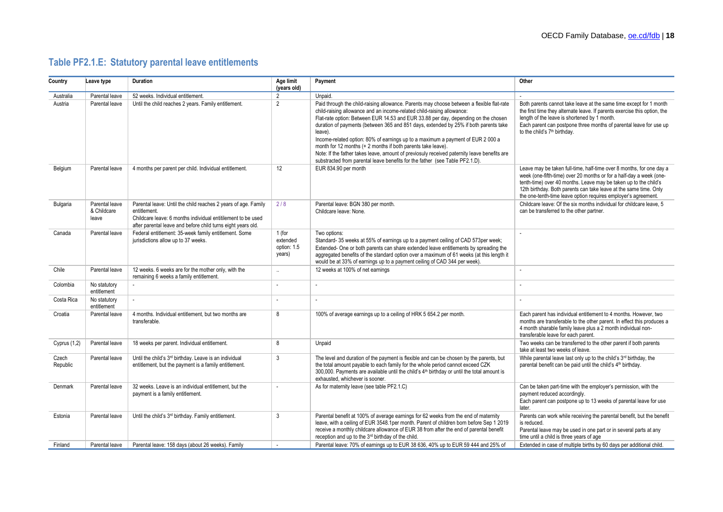# **Table PF2.1.E: Statutory parental leave entitlements**

| Country           | Leave type                             | <b>Duration</b>                                                                                                                                                                                                | Age limit<br>(years old)                    | Payment                                                                                                                                                                                                                                                                                                                                                                                                                                                                                                                                                                                                                                                                                       | Other                                                                                                                                                                                                                                                                                                                                                  |
|-------------------|----------------------------------------|----------------------------------------------------------------------------------------------------------------------------------------------------------------------------------------------------------------|---------------------------------------------|-----------------------------------------------------------------------------------------------------------------------------------------------------------------------------------------------------------------------------------------------------------------------------------------------------------------------------------------------------------------------------------------------------------------------------------------------------------------------------------------------------------------------------------------------------------------------------------------------------------------------------------------------------------------------------------------------|--------------------------------------------------------------------------------------------------------------------------------------------------------------------------------------------------------------------------------------------------------------------------------------------------------------------------------------------------------|
| Australia         | Parental leave                         | 52 weeks. Individual entitlement.                                                                                                                                                                              | 2                                           | Unpaid.                                                                                                                                                                                                                                                                                                                                                                                                                                                                                                                                                                                                                                                                                       |                                                                                                                                                                                                                                                                                                                                                        |
| Austria           | Parental leave                         | Until the child reaches 2 years. Family entitlement.                                                                                                                                                           | $\overline{2}$                              | Paid through the child-raising allowance. Parents may choose between a flexible flat-rate<br>child-raising allowance and an income-related child-raising allowance:<br>Flat-rate option: Between EUR 14.53 and EUR 33.88 per day, depending on the chosen<br>duration of payments (between 365 and 851 days, extended by 25% if both parents take<br>leave).<br>Income-related option: 80% of earnings up to a maximum a payment of EUR 2000 a<br>month for 12 months (+ 2 months if both parents take leave).<br>Note: If the father takes leave, amount of previosuly received paternity leave benefits are<br>substracted from parental leave benefits for the father (see Table PF2.1.D). | Both parents cannot take leave at the same time except for 1 month<br>the first time they alternate leave. If parents exercise this option, the<br>length of the leave is shortened by 1 month.<br>Each parent can postpone three months of parental leave for use up<br>to the child's 7 <sup>th</sup> birthday.                                      |
| Belgium           | Parental leave                         | 4 months per parent per child. Individual entitlement.                                                                                                                                                         | 12                                          | EUR 834.90 per month                                                                                                                                                                                                                                                                                                                                                                                                                                                                                                                                                                                                                                                                          | Leave may be taken full-time, half-time over 8 months, for one day a<br>week (one-fifth-time) over 20 months or for a half-day a week (one-<br>tenth-time) over 40 months. Leave may be taken up to the child's<br>12th birthday. Both parents can take leave at the same time. Only<br>the one-tenth-time leave option requires employer's agreement. |
| Bulgaria          | Parental leave<br>& Childcare<br>leave | Parental leave: Until the child reaches 2 years of age. Family<br>entitlement.<br>Childcare leave: 6 months individual entitilement to be used<br>after parental leave and before child turns eight years old. | 2/8                                         | Parental leave: BGN 380 per month.<br>Childcare leave: None.                                                                                                                                                                                                                                                                                                                                                                                                                                                                                                                                                                                                                                  | Childcare leave: Of the six months individual for childcare leave, 5<br>can be transferred to the other partner.                                                                                                                                                                                                                                       |
| Canada            | Parental leave                         | Federal entitlement: 35-week family entitlement. Some<br>jurisdictions allow up to 37 weeks.                                                                                                                   | 1 (for<br>extended<br>option: 1.5<br>years) | Two options:<br>Standard-35 weeks at 55% of earnings up to a payment ceiling of CAD 573per week;<br>Extended- One or both parents can share extended leave entitlements by spreading the<br>aggregated benefits of the standard option over a maximum of 61 weeks (at this length it<br>would be at 33% of earnings up to a payment ceiling of CAD 344 per week).                                                                                                                                                                                                                                                                                                                             |                                                                                                                                                                                                                                                                                                                                                        |
| Chile             | Parental leave                         | 12 weeks. 6 weeks are for the mother only, with the<br>remaining 6 weeks a family entitlement.                                                                                                                 | $\sim$                                      | 12 weeks at 100% of net earnings                                                                                                                                                                                                                                                                                                                                                                                                                                                                                                                                                                                                                                                              | $\sim$                                                                                                                                                                                                                                                                                                                                                 |
| Colombia          | No statutory<br>entitlement            | $\sim$                                                                                                                                                                                                         | $\sim$                                      | $\sim$                                                                                                                                                                                                                                                                                                                                                                                                                                                                                                                                                                                                                                                                                        | $\tilde{\phantom{a}}$                                                                                                                                                                                                                                                                                                                                  |
| Costa Rica        | No statutory<br>entitlement            | $\mathbf{r}$                                                                                                                                                                                                   | $\sim$                                      | $\sim$                                                                                                                                                                                                                                                                                                                                                                                                                                                                                                                                                                                                                                                                                        | $\overline{\phantom{a}}$                                                                                                                                                                                                                                                                                                                               |
| Croatia           | Parental leave                         | 4 months. Individual entitlement, but two months are<br>transferable.                                                                                                                                          | 8                                           | 100% of average earnings up to a ceiling of HRK 5 654.2 per month.                                                                                                                                                                                                                                                                                                                                                                                                                                                                                                                                                                                                                            | Each parent has individual entitlement to 4 months. However, two<br>months are transferable to the other parent. In effect this produces a<br>4 month sharable family leave plus a 2 month individual non-<br>transferable leave for each parent.                                                                                                      |
| Cyprus $(1,2)$    | Parental leave                         | 18 weeks per parent. Individual entitlement.                                                                                                                                                                   | 8                                           | Unpaid                                                                                                                                                                                                                                                                                                                                                                                                                                                                                                                                                                                                                                                                                        | Two weeks can be transferred to the other parent if both parents<br>take at least two weeks of leave.                                                                                                                                                                                                                                                  |
| Czech<br>Republic | Parental leave                         | Until the child's 3 <sup>rd</sup> birthday. Leave is an individual<br>entitlement, but the payment is a family entitlement.                                                                                    | 3                                           | The level and duration of the payment is flexible and can be chosen by the parents, but<br>the total amount payable to each family for the whole period cannot exceed CZK<br>300,000. Payments are available until the child's 4 <sup>th</sup> birthday or until the total amount is<br>exhausted, whichever is sooner.                                                                                                                                                                                                                                                                                                                                                                       | While parental leave last only up to the child's 3rd birthday, the<br>parental benefit can be paid until the child's 4 <sup>th</sup> birthday.                                                                                                                                                                                                         |
| Denmark           | Parental leave                         | 32 weeks. Leave is an individual entitlement, but the<br>payment is a family entitlement.                                                                                                                      | $\sim$                                      | As for maternity leave (see table PF2.1.C)                                                                                                                                                                                                                                                                                                                                                                                                                                                                                                                                                                                                                                                    | Can be taken part-time with the employer's permission, with the<br>payment reduced accordingly.<br>Each parent can postpone up to 13 weeks of parental leave for use<br>later.                                                                                                                                                                         |
| Estonia           | Parental leave                         | Until the child's 3rd birthday. Family entitlement.                                                                                                                                                            | 3                                           | Parental benefit at 100% of average earnings for 62 weeks from the end of maternity<br>leave, with a ceiling of EUR 3548.1per month. Parent of children born before Sep 1 2019<br>receive a monthly childcare allowance of EUR 38 from after the end of parental benefit<br>reception and up to the 3 <sup>rd</sup> birthday of the child.                                                                                                                                                                                                                                                                                                                                                    | Parents can work while receiving the parental benefit, but the benefit<br>is reduced.<br>Parental leave may be used in one part or in several parts at any<br>time until a child is three years of age                                                                                                                                                 |
| Finland           | Parental leave                         | Parental leave: 158 days (about 26 weeks). Family                                                                                                                                                              |                                             | Parental leave: 70% of earnings up to EUR 38 636, 40% up to EUR 59 444 and 25% of                                                                                                                                                                                                                                                                                                                                                                                                                                                                                                                                                                                                             | Extended in case of multiple births by 60 days per additional child.                                                                                                                                                                                                                                                                                   |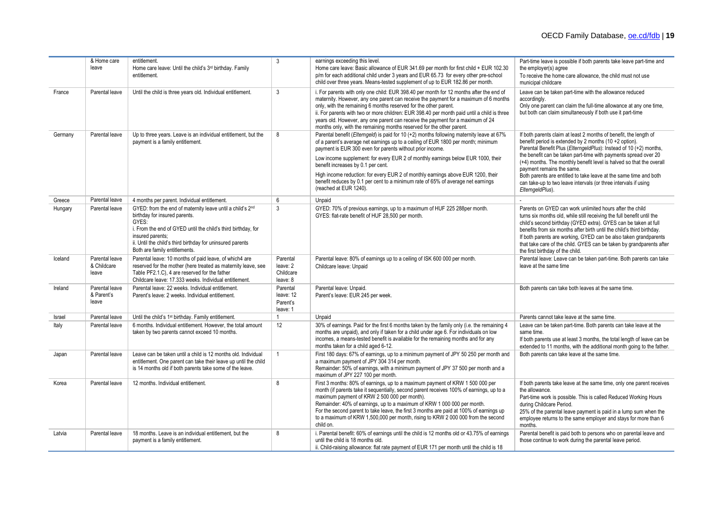|         | & Home care<br>leave                   | entitlement.<br>Home care leave: Until the child's 3rd birthday. Family<br>entitlement.                                                                                                                                                                                                             | 3                                             | earnings exceeding this level.<br>Home care leave: Basic allowance of EUR 341.69 per month for first child + EUR 102.30<br>p/m for each additional child under 3 years and EUR 65.73 for every other pre-school<br>child over three years. Means-tested supplement of up to EUR 182.86 per month.                                                                                                                                                                                                                                                                       | Part-time leave is possible if both parents take leave part-time and<br>the employer(s) agree<br>To receive the home care allowance, the child must not use<br>municipal childcare                                                                                                                                                                                                                                                                                                                                                       |
|---------|----------------------------------------|-----------------------------------------------------------------------------------------------------------------------------------------------------------------------------------------------------------------------------------------------------------------------------------------------------|-----------------------------------------------|-------------------------------------------------------------------------------------------------------------------------------------------------------------------------------------------------------------------------------------------------------------------------------------------------------------------------------------------------------------------------------------------------------------------------------------------------------------------------------------------------------------------------------------------------------------------------|------------------------------------------------------------------------------------------------------------------------------------------------------------------------------------------------------------------------------------------------------------------------------------------------------------------------------------------------------------------------------------------------------------------------------------------------------------------------------------------------------------------------------------------|
| France  | Parental leave                         | Until the child is three years old. Individual entitlement.                                                                                                                                                                                                                                         | 3                                             | i. For parents with only one child: EUR 398.40 per month for 12 months after the end of<br>maternity. However, any one parent can receive the payment for a maximum of 6 months<br>only, with the remaining 6 months reserved for the other parent.<br>ii. For parents with two or more children: EUR 398.40 per month paid until a child is three<br>years old. However, any one parent can receive the payment for a maximum of 24<br>months only, with the remaining months reserved for the other parent.                                                           | Leave can be taken part-time with the allowance reduced<br>accordingly.<br>Only one parent can claim the full-time allowance at any one time,<br>but both can claim simultaneously if both use it part-time                                                                                                                                                                                                                                                                                                                              |
| Germany | Parental leave                         | Up to three years. Leave is an individual entitlement, but the<br>payment is a family entitlement.                                                                                                                                                                                                  | 8                                             | Parental benefit (Elterngeld) is paid for 10 (+2) months following maternity leave at 67%<br>of a parent's average net earnings up to a ceiling of EUR 1800 per month; minimum<br>payment is EUR 300 even for parents without prior income.<br>Low income supplement: for every EUR 2 of monthly earnings below EUR 1000, their<br>benefit increases by 0.1 per cent.<br>High income reduction: for every EUR 2 of monthly earnings above EUR 1200, their<br>benefit reduces by 0.1 per cent to a minimum rate of 65% of average net earnings<br>(reached at EUR 1240). | If both parents claim at least 2 months of benefit, the length of<br>benefit period is extended by 2 months $(10 + 2$ option).<br>Parental Benefit Plus (ElterngeldPlus): Instead of 10 (+2) months,<br>the benefit can be taken part-time with payments spread over 20<br>(+4) months. The monthly benefit level is halved so that the overall<br>payment remains the same.<br>Both parents are entitled to take leave at the same time and both<br>can take-up to two leave intervals (or three intervals if using<br>ElterngeldPlus). |
| Greece  | Parental leave                         | 4 months per parent. Individual entitlement.                                                                                                                                                                                                                                                        | 6                                             | Unpaid                                                                                                                                                                                                                                                                                                                                                                                                                                                                                                                                                                  |                                                                                                                                                                                                                                                                                                                                                                                                                                                                                                                                          |
| Hungary | Parental leave                         | GYED: from the end of maternity leave until a child's 2 <sup>nd</sup><br>birthday for insured parents.<br>GYES:<br>i. From the end of GYED until the child's third birthday, for<br>insured parents;<br>ii. Until the child's third birthday for uninsured parents<br>Both are family entitlements. | $\mathbf{3}$                                  | GYED: 70% of previous earnings, up to a maximum of HUF 225 288per month.<br>GYES: flat-rate benefit of HUF 28,500 per month.                                                                                                                                                                                                                                                                                                                                                                                                                                            | Parents on GYED can work unlimited hours after the child<br>turns six months old, while still receiving the full benefit until the<br>child's second birthday (GYED extra). GYES can be taken at full<br>benefits from six months after birth until the child's third birthday.<br>If both parents are working, GYED can be also taken grandparents<br>that take care of the child. GYES can be taken by grandparents after<br>the first birthday of the child.                                                                          |
| Iceland | Parental leave<br>& Childcare<br>leave | Parental leave: 10 months of paid leave, of which4 are<br>reserved for the mother (here treated as maternity leave, see<br>Table PF2.1.C), 4 are reserved for the father<br>Childcare leave: 17.333 weeks. Individual entitlement.                                                                  | Parental<br>leave: 2<br>Childcare<br>leave: 8 | Parental leave: 80% of earnings up to a ceiling of ISK 600 000 per month.<br>Childcare leave: Unpaid                                                                                                                                                                                                                                                                                                                                                                                                                                                                    | Parental leave: Leave can be taken part-time. Both parents can take<br>leave at the same time                                                                                                                                                                                                                                                                                                                                                                                                                                            |
| Ireland | Parental leave<br>& Parent's<br>leave  | Parental leave: 22 weeks. Individual entitlement.<br>Parent's leave: 2 weeks. Individual entitlement.                                                                                                                                                                                               | Parental<br>leave: 12<br>Parent's<br>leave: 1 | Parental leave: Unpaid.<br>Parent's leave: EUR 245 per week.                                                                                                                                                                                                                                                                                                                                                                                                                                                                                                            | Both parents can take both leaves at the same time.                                                                                                                                                                                                                                                                                                                                                                                                                                                                                      |
| Israel  | Parental leave                         | Until the child's 1 <sup>st</sup> birthday. Family entitlement.                                                                                                                                                                                                                                     | $\overline{1}$                                | Unpaid                                                                                                                                                                                                                                                                                                                                                                                                                                                                                                                                                                  | Parents cannot take leave at the same time.                                                                                                                                                                                                                                                                                                                                                                                                                                                                                              |
| Italy   | Parental leave                         | 6 months. Individual entitlement. However, the total amount<br>taken by two parents cannot exceed 10 months.                                                                                                                                                                                        | 12                                            | 30% of earnings. Paid for the first 6 months taken by the family only (i.e. the remaining 4<br>months are unpaid), and only if taken for a child under age 6. For individuals on low<br>incomes, a means-tested benefit is available for the remaining months and for any<br>months taken for a child aged 6-12.                                                                                                                                                                                                                                                        | Leave can be taken part-time. Both parents can take leave at the<br>same time.<br>If both parents use at least 3 months, the total length of leave can be<br>extended to 11 months, with the additional month going to the father.                                                                                                                                                                                                                                                                                                       |
| Japan   | Parental leave                         | Leave can be taken until a child is 12 months old. Individual<br>entitlement. One parent can take their leave up until the child<br>is 14 months old if both parents take some of the leave.                                                                                                        | $\mathbf{1}$                                  | First 180 days: 67% of earnings, up to a minimum payment of JPY 50 250 per month and<br>a maximum payment of JPY 304 314 per month.<br>Remainder: 50% of earnings, with a minimum payment of JPY 37 500 per month and a<br>maximum of JPY 227 100 per month.                                                                                                                                                                                                                                                                                                            | Both parents can take leave at the same time.                                                                                                                                                                                                                                                                                                                                                                                                                                                                                            |
| Korea   | Parental leave                         | 12 months. Individual entitlement.                                                                                                                                                                                                                                                                  | $\mathsf{R}$                                  | First 3 months: 80% of earnings, up to a maximum payment of KRW 1 500 000 per<br>month (if parents take it sequentially, second parent receives 100% of earnings, up to a<br>maximum payment of KRW 2 500 000 per month).<br>Remainder: 40% of earnings, up to a maximum of KRW 1 000 000 per month.<br>For the second parent to take leave, the first 3 months are paid at 100% of earnings up<br>to a maximum of KRW 1,500,000 per month, rising to KRW 2 000 000 from the second<br>child on.                                                                        | If both parents take leave at the same time, only one parent receives<br>the allowance.<br>Part-time work is possible. This is called Reduced Working Hours<br>during Childcare Period.<br>25% of the parental leave payment is paid in a lump sum when the<br>employee returns to the same employer and stays for more than 6<br>months.                                                                                                                                                                                                |
| Latvia  | Parental leave                         | 18 months. Leave is an individual entitlement, but the<br>payment is a family entitlement.                                                                                                                                                                                                          | 8                                             | i. Parental benefit: 60% of earnings until the child is 12 months old or 43.75% of earnings<br>until the child is 18 months old.<br>ii. Child-raising allowance: flat rate payment of EUR 171 per month until the child is 18                                                                                                                                                                                                                                                                                                                                           | Parental benefit is paid both to persons who on parental leave and<br>those continue to work during the parental leave period.                                                                                                                                                                                                                                                                                                                                                                                                           |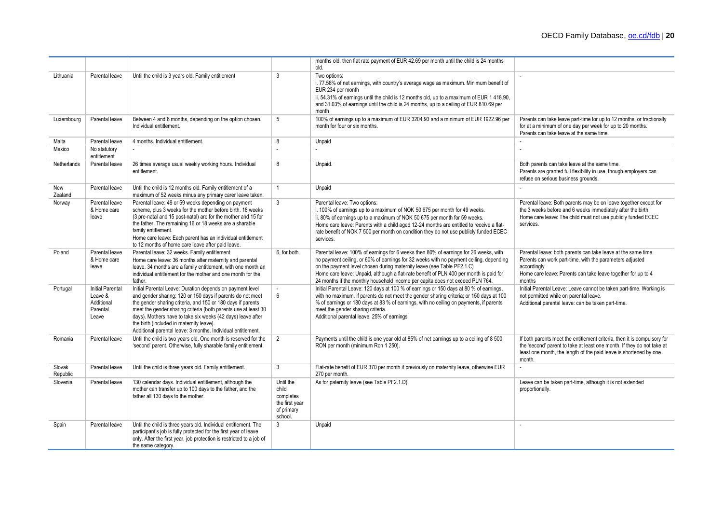|                    |                                                                       |                                                                                                                                                                                                                                                                                                                                                                                                                                     |                                                                            | months old, then flat rate payment of EUR 42.69 per month until the child is 24 months<br>old.                                                                                                                                                                                                                                                                                                                                      |                                                                                                                                                                                                                                   |
|--------------------|-----------------------------------------------------------------------|-------------------------------------------------------------------------------------------------------------------------------------------------------------------------------------------------------------------------------------------------------------------------------------------------------------------------------------------------------------------------------------------------------------------------------------|----------------------------------------------------------------------------|-------------------------------------------------------------------------------------------------------------------------------------------------------------------------------------------------------------------------------------------------------------------------------------------------------------------------------------------------------------------------------------------------------------------------------------|-----------------------------------------------------------------------------------------------------------------------------------------------------------------------------------------------------------------------------------|
| Lithuania          | Parental leave                                                        | Until the child is 3 years old. Family entitlement                                                                                                                                                                                                                                                                                                                                                                                  | 3                                                                          | Two options:<br>i. 77.58% of net earnings, with country's average wage as maximum. Minimum benefit of<br>EUR 234 per month<br>ii. 54.31% of earnings until the child is 12 months old, up to a maximum of EUR 1418.90,<br>and 31.03% of earnings until the child is 24 months, up to a ceiling of EUR 810.69 per<br>month                                                                                                           |                                                                                                                                                                                                                                   |
| Luxembourg         | Parental leave                                                        | Between 4 and 6 months, depending on the option chosen.<br>Individual entitlement.                                                                                                                                                                                                                                                                                                                                                  | 5                                                                          | 100% of earnings up to a maximum of EUR 3204.93 and a minimum of EUR 1922.96 per<br>month for four or six months.                                                                                                                                                                                                                                                                                                                   | Parents can take leave part-time for up to 12 months, or fractionally<br>for at a minimum of one day per week for up to 20 months.<br>Parents can take leave at the same time.                                                    |
| Malta              | Parental leave                                                        | 4 months, Individual entitlement.                                                                                                                                                                                                                                                                                                                                                                                                   | 8                                                                          | Unpaid                                                                                                                                                                                                                                                                                                                                                                                                                              | $\mathbf{r}$                                                                                                                                                                                                                      |
| Mexico             | No statutory<br>entitlement                                           | $\mathbf{r}$                                                                                                                                                                                                                                                                                                                                                                                                                        | $\sim$                                                                     | ÷.                                                                                                                                                                                                                                                                                                                                                                                                                                  | $\sim$                                                                                                                                                                                                                            |
| Netherlands        | Parental leave                                                        | 26 times average usual weekly working hours. Individual<br>entitlement.                                                                                                                                                                                                                                                                                                                                                             | 8                                                                          | Unpaid.                                                                                                                                                                                                                                                                                                                                                                                                                             | Both parents can take leave at the same time.<br>Parents are granted full flexibility in use, though employers can<br>refuse on serious business grounds.                                                                         |
| New<br>Zealand     | Parental leave                                                        | Until the child is 12 months old. Family entitlement of a<br>maximum of 52 weeks minus any primary carer leave taken.                                                                                                                                                                                                                                                                                                               | $\overline{1}$                                                             | Unpaid                                                                                                                                                                                                                                                                                                                                                                                                                              |                                                                                                                                                                                                                                   |
| Norway             | Parental leave<br>& Home care<br>leave                                | Parental leave: 49 or 59 weeks depending on payment<br>scheme, plus 3 weeks for the mother before birth. 18 weeks<br>(3 pre-natal and 15 post-natal) are for the mother and 15 for<br>the father. The remaining 16 or 18 weeks are a sharable<br>family entitlement.<br>Home care leave: Each parent has an individual entitlement<br>to 12 months of home care leave after paid leave.                                             | $\mathbf{3}$                                                               | Parental leave: Two options:<br>i. 100% of earnings up to a maximum of NOK 50 675 per month for 49 weeks.<br>ii. 80% of earnings up to a maximum of NOK 50 675 per month for 59 weeks.<br>Home care leave: Parents with a child aged 12-24 months are entitled to receive a flat-<br>rate benefit of NOK 7 500 per month on condition they do not use publicly funded ECEC<br>services.                                             | Parental leave: Both parents may be on leave together except for<br>the 3 weeks before and 6 weeks immediately after the birth<br>Home care leave: The child must not use publicly funded ECEC<br>services.                       |
| Poland             | Parental leave<br>& Home care<br>leave                                | Parental leave: 32 weeks. Family entitlement<br>Home care leave: 36 months after maternity and parental<br>leave. 34 months are a family entitlement, with one month an<br>individual entitlement for the mother and one month for the<br>father.                                                                                                                                                                                   | 6, for both.                                                               | Parental leave: 100% of earnings for 6 weeks then 80% of earnings for 26 weeks, with<br>no payment ceiling, or 60% of earnings for 32 weeks with no payment ceiling, depending<br>on the payment level chosen during maternity leave (see Table PF2.1.C)<br>Home care leave: Unpaid, although a flat-rate benefit of PLN 400 per month is paid for<br>24 months if the monthly household income per capita does not exceed PLN 764. | Parental leave: both parents can take leave at the same time.<br>Parents can work part-time, with the parameters adjusted<br>accordingly<br>Home care leave: Parents can take leave together for up to 4<br>months                |
| Portugal           | <b>Initial Parental</b><br>Leave &<br>Additional<br>Parental<br>Leave | Initial Parental Leave: Duration depends on payment level<br>and gender sharing: 120 or 150 days if parents do not meet<br>the gender sharing criteria, and 150 or 180 days if parents<br>meet the gender sharing criteria (both parents use at least 30<br>days). Mothers have to take six weeks (42 days) leave after<br>the birth (included in maternity leave).<br>Additional parental leave: 3 months. Individual entitlement. | $\overline{a}$<br>6                                                        | Initial Parental Leave: 120 days at 100 % of earnings or 150 days at 80 % of earnings,<br>with no maximum, if parents do not meet the gender sharing criteria; or 150 days at 100<br>% of earnings or 180 days at 83 % of earnings, with no ceiling on payments, if parents<br>meet the gender sharing criteria.<br>Additional parental leave: 25% of earnings                                                                      | Initial Parental Leave: Leave cannot be taken part-time. Working is<br>not permitted while on parental leave.<br>Additional parental leave: can be taken part-time.                                                               |
| Romania            | Parental leave                                                        | Until the child is two years old. One month is reserved for the<br>'second' parent. Otherwise, fully sharable family entitlement.                                                                                                                                                                                                                                                                                                   | 2                                                                          | Payments until the child is one year old at 85% of net earnings up to a ceiling of 8 500<br>RON per month (minimum Ron 1 250).                                                                                                                                                                                                                                                                                                      | If both parents meet the entitlement criteria, then it is compulsory for<br>the 'second' parent to take at least one month. If they do not take at<br>least one month, the length of the paid leave is shortened by one<br>month. |
| Slovak<br>Republic | Parental leave                                                        | Until the child is three years old. Family entitlement.                                                                                                                                                                                                                                                                                                                                                                             | 3                                                                          | Flat-rate benefit of EUR 370 per month if previously on maternity leave, otherwise EUR<br>270 per month.                                                                                                                                                                                                                                                                                                                            |                                                                                                                                                                                                                                   |
| Slovenia           | Parental leave                                                        | 130 calendar days. Individual entitlement, although the<br>mother can transfer up to 100 days to the father, and the<br>father all 130 days to the mother.                                                                                                                                                                                                                                                                          | Until the<br>child<br>completes<br>the first year<br>of primary<br>school. | As for paternity leave (see Table PF2.1.D).                                                                                                                                                                                                                                                                                                                                                                                         | Leave can be taken part-time, although it is not extended<br>proportionally.                                                                                                                                                      |
| Spain              | Parental leave                                                        | Until the child is three years old. Individual entitlement. The<br>participant's job is fully protected for the first year of leave<br>only. After the first year, job protection is restricted to a job of<br>the same category.                                                                                                                                                                                                   | $\mathbf{3}$                                                               | Unpaid                                                                                                                                                                                                                                                                                                                                                                                                                              |                                                                                                                                                                                                                                   |